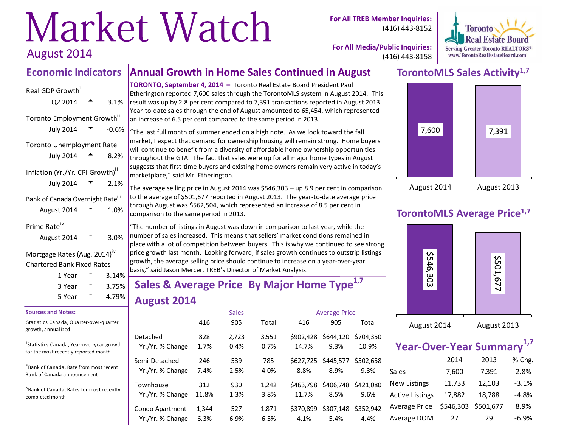# Market Watch

**For All TREB Member Inquiries:** (416) 443-8152



**For All Media/Public Inquiries:** (416) 443-8158

### **TorontoMLS Sales Activity1,7**



### **TorontoMLS Average Price1,7**



| Year-Over-Year Summary <sup>1,7</sup> |           |           |         |
|---------------------------------------|-----------|-----------|---------|
|                                       | 2014      | 2013      | % Chg.  |
| Sales                                 | 7,600     | 7,391     | 2.8%    |
| <b>New Listings</b>                   | 11,733    | 12,103    | $-3.1%$ |
| <b>Active Listings</b>                | 17,882    | 18,788    | $-4.8%$ |
| Average Price                         | \$546,303 | \$501,677 | 8.9%    |
| Average DOM                           | 27        | 29        | $-6.9%$ |

August 2014

**Economic Indicators**

Real GDP Growth

#### **TORONTO, September 4, 2014 –** Toronto Real Estate Board President Paul Etherington reported 7,600 sales through the TorontoMLS system in August 2014. This result was up by 2.8 per cent compared to 7,391 transactions reported in August 2013.  $Q2\,2014$   $\rightarrow$  3.1%

**Annual Growth in Home Sales Continued in August**

Toronto Employment Growth<sup>ii</sup> July 2014  $\bullet$  -0.6% Toronto Unemployment Rate July 2014  $\triangle$  8.2% Inflation (Yr./Yr. CPI Growth)<sup>ii</sup> July 2014  $\sqrt{2}$  2.1% Bank of Canada Overnight Rate<sup>iii</sup> August  $2014 - 1.0%$ Prime Rate<sup>iv</sup>

#### August 2014 <sup>-</sup> 3.0%

Mortgage Rates (Aug. 2014)<sup>iv</sup> Chartered Bank Fixed Rates

| 1 Year | $3.14\%$ |  |
|--------|----------|--|
|        |          |  |
| 3 Year | 3.75%    |  |
| 5 Year | 4.79%    |  |

#### **Sources and Notes:**

i Statistics Canada, Quarter-over-quarter growth, annualized

"Statistics Canada, Year-over-year growth for the most recently reported month

iiiBank of Canada, Rate from most recent Bank of Canada announcement

ivBank of Canada, Rates for most recently completed month

Year-to-date sales through the end of August amounted to 65,454, which represented an increase of 6.5 per cent compared to the same period in 2013.

"The last full month of summer ended on a high note. As we look toward the fall market, I expect that demand for ownership housing will remain strong. Home buyers will continue to benefit from a diversity of affordable home ownership opportunities throughout the GTA. The fact that sales were up for all major home types in August suggests that first-time buyers and existing home owners remain very active in today's marketplace," said Mr. Etherington.

The average selling price in August 2014 was \$546,303 – up 8.9 per cent in comparison to the average of \$501,677 reported in August 2013. The year-to-date average price through August was \$562,504, which represented an increase of 8.5 per cent in comparison to the same period in 2013.

"The number of listings in August was down in comparison to last year, while the number of sales increased. This means that sellers' market conditions remained in place with a lot of competition between buyers. This is why we continued to see strong price growth last month. Looking forward, if sales growth continues to outstrip listings  $g$ rowth, the average selling price should continue to increase on a year-over-year basis," said Jason Mercer, TREB's Director of Market Analysis.

# **Sales & Average Price By Major Home Type1,7 August 2014**

|                                   |             | <b>Sales</b> |             |           | <b>Average Price</b>        |                   |
|-----------------------------------|-------------|--------------|-------------|-----------|-----------------------------|-------------------|
|                                   | 416         | 905          | Total       | 416       | 905                         | Total             |
| Detached                          | 828         | 2,723        | 3,551       | \$902.428 | \$644,120                   | \$704.350         |
| Yr./Yr. % Change                  | 1.7%        | 0.4%         | 0.7%        | 14.7%     | 9.3%                        | 10.9%             |
| Semi-Detached<br>Yr./Yr. % Change | 246<br>7.4% | 539<br>2.5%  | 785<br>4.0% | 8.8%      | \$627,725 \$445,577<br>8.9% | \$502,658<br>9.3% |
| Townhouse                         | 312         | 930          | 1,242       | \$463.798 | \$406,748                   | \$421,080         |
| Yr./Yr. % Change                  | 11.8%       | 1.3%         | 3.8%        | 11.7%     | 8.5%                        | 9.6%              |
| Condo Apartment                   | 1,344       | 527          | 1,871       | \$370,899 | \$307,148                   | \$352.942         |
| Yr./Yr. % Change                  | 6.3%        | 6.9%         | 6.5%        | 4.1%      | 5.4%                        | 4.4%              |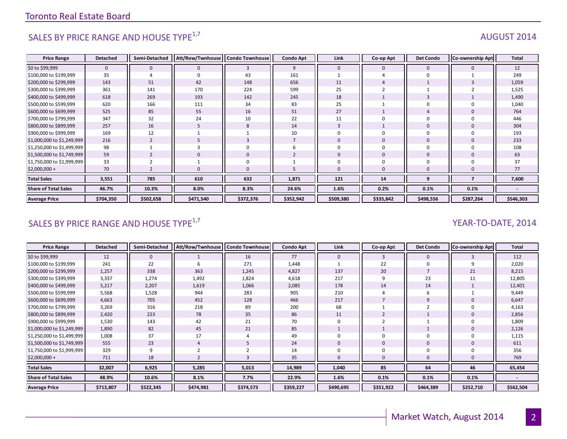# SALES BY PRICE RANGE AND HOUSE TYPE<sup>1,7</sup>  $\blacksquare$

#### **Price Range Detached Semi-Detached Att/Row/Twnhouse Condo Townhouse Condo Apt Link Co-op Apt Det Condo Co-ownership Apt Total** \$0 to \$99,999 | 0 || 0 || 3 || 9 || 0 || 0 || 0 || 12 \$100,000 to \$199,999 | 35 || 4 || 0 || 43 || 161 || 1 || 4 || 0 || 1 || 249 \$200,000 to \$299,999 | 143 || 51 || 42 || 148 || 656 || 11 || 4 || 1 || 3 || 1,059 \$300,000 to \$399,999 | 361 || 141 || 170 || 224 || 599 || 25 || 2 || 1 || 2 || 1,525 \$400,000 to \$499,999 | 618 || 269 || 193 || 142 || 245 || 18 || 1 || 3 || 1 || 1,490 \$500,000 to \$599,999 | 620 || 166 || 111 || 34 || 83 || 25 || 1 || 0 || 0 || 1,040 \$600,000 to \$699,999 | 525 || 85 || 55 || 16 || 51 || 27 || 1 || 4 || 0 || 764 \$700,000 to \$799,999 | 347 || 32 || 24 || 10 || 22 || 11 || 0 || 0 || 0 || 446 \$800,000 to \$899,999 | 257 || 16 || 5 || 8 || 14 || 3 || 1 || 0 || 0 || 304 \$900,000 to \$999,999 169 12 1 1 10 0 0 0 0 193 \$1,000,000 to \$1,249,999 216 || 2 || 5 || 3 || 7 || 0 || 0 || 0 || 0 || 0 | \$1,250,000 to \$1,499,999 98 1 3 0 6 0 0 0 0 108 \$1,500,000 to \$1,749,999 59 2 0 0 2 0 0 0 0 63 \$1,750,000 to \$1,999,999 33 2 1 0 1 0 0 0 0 37 \$2,000,000 + 70 2 0 0 5 0 0 0 0 77 **Total Sales 3,551 785 610 632 1,871 121 14 9 7 7,600 Share of Total Sales 46.7% 10.3% 8.0% 8.3% 24.6% 1.6% 0.2% 0.1% 0.1% - Average Price \$704,350 \$502,658 \$471,540 \$372,376 \$352,942 \$509,380 \$335,842 \$498,556 \$287,264 \$546,303**

### SALES BY PRICE RANGE AND HOUSE TYPE<sup>1,7</sup> YEAR-TO-DATE, 2014

| <b>Price Range</b>          | <b>Detached</b> | Semi-Detached | Att/Row/Twnhouse   Condo Townhouse |           | <b>Condo Apt</b> | Link      | Co-op Apt    | <b>Det Condo</b> | <b>Co-ownership Apt</b> | Total     |
|-----------------------------|-----------------|---------------|------------------------------------|-----------|------------------|-----------|--------------|------------------|-------------------------|-----------|
| \$0 to \$99,999             | 12              | $\mathbf 0$   |                                    | 16        | 77               | 0         | 3            | $\mathbf 0$      |                         | 112       |
| \$100,000 to \$199,999      | 241             | 22            |                                    | 271       | 1,448            |           | 22           | 0                |                         | 2,020     |
| \$200,000 to \$299,999      | 1,257           | 338           | 363                                | 1,245     | 4,827            | 137       | 20           |                  | 21                      | 8,215     |
| \$300,000 to \$399,999      | 3,337           | 1,274         | 1,492                              | 1,824     | 4,618            | 217       | 9            | 23               |                         | 12,805    |
| \$400,000 to \$499,999      | 5,217           | 2,207         | 1,619                              | 1,066     | 2,085            | 178       | 14           | 14               |                         | 12,401    |
| \$500,000 to \$599,999      | 5,568           | 1,528         | 944                                | 283       | 905              | 210       |              | 6                |                         | 9,449     |
| \$600,000 to \$699,999      | 4,663           | 705           | 452                                | 128       | 466              | 217       |              | 9                |                         | 6,647     |
| \$700,000 to \$799,999      | 3,269           | 316           | 218                                | 89        | 200              | 68        |              |                  |                         | 4,163     |
| \$800,000 to \$899,999      | 2,420           | 223           | 78                                 | 35        | 86               | 11        |              |                  |                         | 2,856     |
| \$900,000 to \$999,999      | 1,530           | 143           | 42                                 | 21        | 70               |           |              |                  |                         | 1,809     |
| \$1,000,000 to \$1,249,999  | 1,890           | 82            | 45                                 | 21        | 85               |           |              |                  |                         | 2,126     |
| \$1,250,000 to \$1,499,999  | 1,008           | 37            | 17                                 | 4         | 49               |           | $\Omega$     | 0                |                         | 1,115     |
| \$1,500,000 to \$1,749,999  | 555             | 23            |                                    |           | 24               |           | $\mathbf{0}$ | 0                |                         | 611       |
| \$1,750,000 to \$1,999,999  | 329             | 9             |                                    |           | 14               |           |              | 0                |                         | 356       |
| $$2,000,000 +$              | 711             | 18            |                                    |           | 35               |           |              | $\mathbf{0}$     |                         | 769       |
| <b>Total Sales</b>          | 32,007          | 6,925         | 5,285                              | 5,013     | 14,989           | 1,040     | 85           | 64               | 46                      | 65,454    |
| <b>Share of Total Sales</b> | 48.9%           | 10.6%         | 8.1%                               | 7.7%      | 22.9%            | 1.6%      | 0.1%         | 0.1%             | 0.1%                    |           |
| <b>Average Price</b>        | \$713,807       | \$522,345     | \$474,981                          | \$374,573 | \$359,227        | \$490,695 | \$351,922    | \$464,389        | \$252,710               | \$562,504 |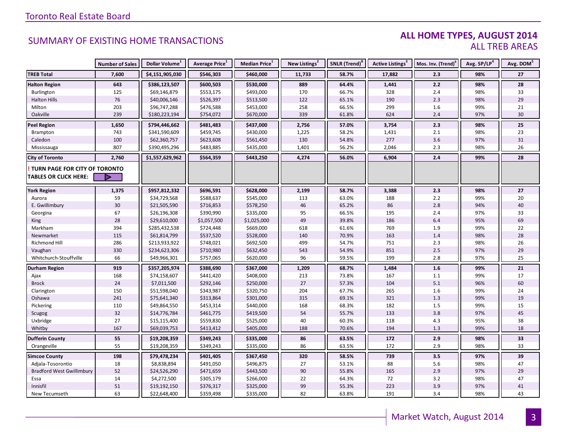#### **ALL HOME TYPES, AUGUST 2014** ALL TREB AREAS

|                                  | <b>Number of Sales</b> | Dollar Volume <sup>1</sup> | Average Price <sup>1</sup> | Median Price <sup>1</sup> | New Listings <sup>2</sup> | SNLR (Trend) <sup>8</sup> | <b>Active Listings<sup>3</sup></b> | Mos. Inv. (Trend) <sup>9</sup> | Avg. SP/LP <sup>4</sup> | Avg. DOM <sup>5</sup> |
|----------------------------------|------------------------|----------------------------|----------------------------|---------------------------|---------------------------|---------------------------|------------------------------------|--------------------------------|-------------------------|-----------------------|
| <b>TREB Total</b>                | 7,600                  | \$4,151,905,030            | \$546,303                  | \$460,000                 | 11,733                    | 58.7%                     | 17,882                             | 2.3                            | 98%                     | 27                    |
| <b>Halton Region</b>             | 643                    | \$386,123,507              | \$600,503                  | \$530,000                 | 889                       | 64.4%                     | 1,441                              | 2.2                            | 98%                     | 28                    |
| Burlington                       | 125                    | \$69,146,879               | \$553,175                  | \$493,000                 | 170                       | 66.7%                     | 328                                | 2.4                            | 98%                     | 33                    |
| <b>Halton Hills</b>              | 76                     | \$40,006,146               | \$526,397                  | \$513,500                 | 122                       | 65.1%                     | 190                                | 2.3                            | 98%                     | 29                    |
| Milton                           | 203                    | \$96,747,288               | \$476,588                  | \$453,000                 | 258                       | 66.5%                     | 299                                | $1.6\,$                        | 99%                     | 21                    |
| Oakville                         | 239                    | \$180,223,194              | \$754,072                  | \$670,000                 | 339                       | 61.8%                     | 624                                | 2.4                            | 97%                     | 30                    |
| <b>Peel Region</b>               | 1,650                  | \$794,446,662              | \$481,483                  | \$437,000                 | 2,756                     | 57.0%                     | 3,754                              | 2.3                            | 98%                     | 25                    |
| Brampton                         | 743                    | \$341,590,609              | \$459,745                  | \$430,000                 | 1,225                     | 58.2%                     | 1,431                              | 2.1                            | 98%                     | 23                    |
| Caledon                          | 100                    | \$62,360,757               | \$623,608                  | \$561,450                 | 130                       | 54.8%                     | 277                                | 3.6                            | 97%                     | 31                    |
| Mississauga                      | 807                    | \$390,495,296              | \$483,885                  | \$435,000                 | 1,401                     | 56.2%                     | 2,046                              | 2.3                            | 98%                     | 26                    |
| <b>City of Toronto</b>           | 2,760                  | \$1,557,629,962            | \$564,359                  | \$443,250                 | 4,274                     | 56.0%                     | 6,904                              | 2.4                            | 99%                     | 28                    |
| TURN PAGE FOR CITY OF TORONTO    |                        |                            |                            |                           |                           |                           |                                    |                                |                         |                       |
| <b>TABLES OR CLICK HERE:</b>     |                        |                            |                            |                           |                           |                           |                                    |                                |                         |                       |
| <b>York Region</b>               | 1,375                  | \$957,812,332              | \$696,591                  | \$628,000                 | 2,199                     | 58.7%                     | 3,388                              | 2.3                            | 98%                     | 27                    |
| Aurora                           | 59                     | \$34,729,568               | \$588,637                  | \$545,000                 | 113                       | 63.0%                     | 188                                | 2.2                            | 99%                     | 20                    |
| E. Gwillimbury                   | 30                     | \$21,505,590               | \$716,853                  | \$578,250                 | 46                        | 65.2%                     | 86                                 | 2.8                            | 94%                     | 40                    |
| Georgina                         | 67                     | \$26,196,308               | \$390,990                  | \$335,000                 | 95                        | 66.5%                     | 195                                | 2.4                            | 97%                     | 33                    |
| King                             | 28                     | \$29,610,000               | \$1,057,500                | \$1,025,000               | 49                        | 39.8%                     | 186                                | 6.4                            | 95%                     | 69                    |
| Markham                          | 394                    | \$285,432,538              | \$724,448                  | \$669,000                 | 618                       | 61.6%                     | 769                                | 1.9                            | 99%                     | 22                    |
| Newmarket                        | 115                    | \$61,814,799               | \$537,520                  | \$528,000                 | 140                       | 70.9%                     | 163                                | 1.4                            | 98%                     | 28                    |
| <b>Richmond Hill</b>             | 286                    | \$213,933,922              | \$748,021                  | \$692,500                 | 499                       | 54.7%                     | 751                                | 2.3                            | 98%                     | 26                    |
| Vaughan                          | 330                    | \$234,623,306              | \$710,980                  | \$632,450                 | 543                       | 54.9%                     | 851                                | $2.5\,$                        | 97%                     | 29                    |
| Whitchurch-Stouffville           | 66                     | \$49,966,301               | \$757,065                  | \$620,000                 | 96                        | 59.5%                     | 199                                | $2.8\,$                        | 97%                     | 25                    |
| <b>Durham Region</b>             | 919                    | \$357,205,974              | \$388,690                  | \$367,000                 | 1,209                     | 68.7%                     | 1,484                              | 1.6                            | 99%                     | 21                    |
| Ajax                             | 168                    | \$74,158,607               | \$441,420                  | \$408,000                 | 213                       | 73.8%                     | 167                                | 1.1                            | 99%                     | 17                    |
| <b>Brock</b>                     | 24                     | \$7,011,500                | \$292,146                  | \$250,000                 | 27                        | 57.3%                     | 104                                | 5.1                            | 96%                     | 60                    |
| Clarington                       | 150                    | \$51,598,040               | \$343,987                  | \$320,750                 | 204                       | 67.7%                     | 265                                | 1.6                            | 99%                     | 24                    |
| Oshawa                           | 241                    | \$75,641,340               | \$313,864                  | \$301,000                 | 315                       | 69.1%                     | 321                                | $1.3$                          | 99%                     | 19                    |
| Pickering                        | 110                    | \$49,864,550               | \$453,314                  | \$440,000                 | 168                       | 68.3%                     | 182                                | $1.5\,$                        | 99%                     | 15                    |
| Scugog                           | 32                     | \$14,776,784               | \$461,775                  | \$419,500                 | 54                        | 55.7%                     | 133                                | 3.8                            | 97%                     | 45                    |
| Uxbridge                         | 27                     | \$15,115,400               | \$559,830                  | \$525,000                 | 40                        | 60.3%                     | 118                                | 4.3                            | 95%                     | 38                    |
| Whitby                           | 167                    | \$69,039,753               | \$413,412                  | \$405,000                 | 188                       | 70.6%                     | 194                                | 1.3                            | 99%                     | 18                    |
| <b>Dufferin County</b>           | 55                     | \$19,208,359               | \$349,243                  | \$335,000                 | 86                        | 63.5%                     | 172                                | 2.9                            | 98%                     | 33                    |
| Orangeville                      | 55                     | \$19,208,359               | \$349,243                  | \$335,000                 | 86                        | 63.5%                     | 172                                | 2.9                            | 98%                     | 33                    |
| <b>Simcoe County</b>             | 198                    | \$79,478,234               | \$401,405                  | \$367,450                 | 320                       | 58.5%                     | 739                                | 3.5                            | 97%                     | 39                    |
| Adjala-Tosorontio                | 18                     | \$8,838,894                | \$491,050                  | \$496,875                 | 27                        | 53.1%                     | 88                                 | 5.6                            | 98%                     | 47                    |
| <b>Bradford West Gwillimbury</b> | 52                     | \$24,526,290               | \$471,659                  | \$443,500                 | 90                        | 55.8%                     | 165                                | 2.9                            | 97%                     | 29                    |
| Essa                             | 14                     | \$4,272,500                | \$305,179                  | \$266,000                 | 22                        | 64.3%                     | 72                                 | 3.2                            | 98%                     | 47                    |
| Innisfil                         | 51                     | \$19,192,150               | \$376,317                  | \$325,000                 | 99                        | 55.3%                     | 223                                | 3.9                            | 97%                     | 41                    |
| New Tecumseth                    | 63                     | \$22,648,400               | \$359,498                  | \$335,000                 | 82                        | 63.8%                     | 191                                | 3.4                            | 98%                     | 43                    |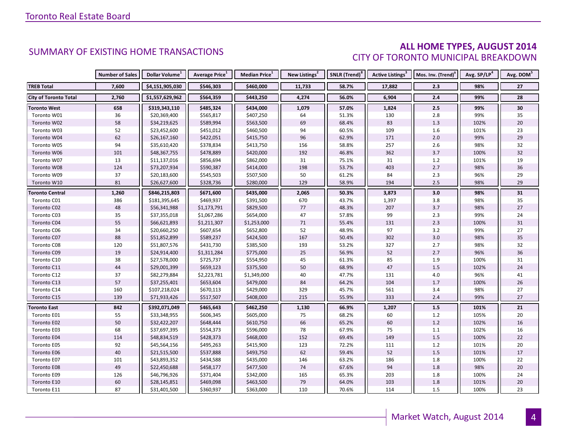#### **ALL HOME TYPES, AUGUST 2014** CITY OF TORONTO MUNICIPAL BREAKDOWN

|                              | <b>Number of Sales</b> | Dollar Volume <sup>1</sup> | <b>Average Price</b> <sup>1</sup> | Median Price <sup>1</sup> | New Listings <sup>2</sup> | SNLR (Trend) <sup>8</sup> | Active Listings <sup>3</sup> | Mos. Inv. (Trend) <sup>9</sup> | Avg. SP/LP <sup>4</sup> | Avg. DOM <sup>5</sup> |
|------------------------------|------------------------|----------------------------|-----------------------------------|---------------------------|---------------------------|---------------------------|------------------------------|--------------------------------|-------------------------|-----------------------|
| <b>TREB Total</b>            | 7,600                  | \$4,151,905,030            | \$546,303                         | \$460,000                 | 11,733                    | 58.7%                     | 17,882                       | 2.3                            | 98%                     | 27                    |
| <b>City of Toronto Total</b> | 2,760                  | \$1,557,629,962            | \$564,359                         | \$443,250                 | 4,274                     | 56.0%                     | 6,904                        | 2.4                            | 99%                     | 28                    |
| <b>Toronto West</b>          | 658                    | \$319,343,110              | \$485,324                         | \$434,000                 | 1,079                     | 57.0%                     | 1,824                        | $2.5\,$                        | 99%                     | 30                    |
| Toronto W01                  | 36                     | \$20,369,400               | \$565,817                         | \$407,250                 | 64                        | 51.3%                     | 130                          | $2.8\,$                        | 99%                     | 35                    |
| Toronto W02                  | 58                     | \$34,219,625               | \$589,994                         | \$563,500                 | 69                        | 68.4%                     | 83                           | 1.3                            | 102%                    | 20                    |
| Toronto W03                  | 52                     | \$23,452,600               | \$451,012                         | \$460,500                 | 94                        | 60.5%                     | 109                          | $1.6\,$                        | 101%                    | 23                    |
| Toronto W04                  | 62                     | \$26,167,160               | \$422,051                         | \$415,750                 | 96                        | 62.9%                     | 171                          | $2.0\,$                        | 99%                     | 29                    |
| Toronto W05                  | 94                     | \$35,610,420               | \$378,834                         | \$413,750                 | 156                       | 58.8%                     | 257                          | $2.6\,$                        | 98%                     | 32                    |
| Toronto W06                  | 101                    | \$48,367,755               | \$478,889                         | \$420,000                 | 192                       | 46.8%                     | 362                          | 3.7                            | 100%                    | $32\,$                |
| Toronto W07                  | 13                     | \$11,137,016               | \$856,694                         | \$862,000                 | 31                        | 75.1%                     | 31                           | $1.2\,$                        | 101%                    | 19                    |
| Toronto W08                  | 124                    | \$73,207,934               | \$590,387                         | \$414,000                 | 198                       | 53.7%                     | 403                          | 2.7                            | 98%                     | 36                    |
| Toronto W09                  | 37                     | \$20,183,600               | \$545,503                         | \$507,500                 | 50                        | 61.2%                     | 84                           | 2.3                            | 96%                     | 29                    |
| Toronto W10                  | 81                     | \$26,627,600               | \$328,736                         | \$280,000                 | 129                       | 58.9%                     | 194                          | $2.5$                          | 98%                     | 29                    |
| <b>Toronto Central</b>       | 1,260                  | \$846,215,803              | \$671,600                         | \$435,000                 | 2,065                     | 50.3%                     | 3,873                        | 3.0                            | 98%                     | 31                    |
| Toronto C01                  | 386                    | \$181,395,645              | \$469,937                         | \$391,500                 | 670                       | 43.7%                     | 1,397                        | $3.8\,$                        | 98%                     | 35                    |
| Toronto C02                  | 48                     | \$56,341,988               | \$1,173,791                       | \$829,500                 | $77 \,$                   | 48.3%                     | 207                          | 3.7                            | 98%                     | 27                    |
| Toronto C03                  | 35                     | \$37,355,018               | \$1,067,286                       | \$654,000                 | 47                        | 57.8%                     | 99                           | 2.3                            | 99%                     | 24                    |
| Toronto C04                  | 55                     | \$66,621,893               | \$1,211,307                       | \$1,253,000               | 71                        | 55.4%                     | 131                          | 2.3                            | 100%                    | 31                    |
| Toronto C06                  | $34\,$                 | \$20,660,250               | \$607,654                         | \$652,800                 | 52                        | 48.9%                     | 97                           | $3.2\,$                        | 99%                     | 27                    |
| Toronto C07                  | 88                     | \$51,852,899               | \$589,237                         | \$424,500                 | 167                       | 50.4%                     | 302                          | $3.0\,$                        | 98%                     | 35                    |
| Toronto C08                  | 120                    | \$51,807,576               | \$431,730                         | \$385,500                 | 193                       | 53.2%                     | 327                          | 2.7                            | 98%                     | 32                    |
| Toronto C09                  | 19                     | \$24,914,400               | \$1,311,284                       | \$775,000                 | 25                        | 56.9%                     | 52                           | 2.7                            | 96%                     | 36                    |
| Toronto C10                  | 38                     | \$27,578,000               | \$725,737                         | \$554,950                 | 45                        | 61.3%                     | 85                           | 1.9                            | 100%                    | 31                    |
| Toronto C11                  | $44\,$                 | \$29,001,399               | \$659,123                         | \$375,500                 | 50                        | 68.9%                     | 47                           | $1.5\,$                        | 102%                    | 24                    |
| Toronto C12                  | 37                     | \$82,279,884               | \$2,223,781                       | \$1,349,000               | 40                        | 47.7%                     | 131                          | $4.0\,$                        | 96%                     | 41                    |
| Toronto C13                  | 57                     | \$37,255,401               | \$653,604                         | \$479,000                 | 84                        | 64.2%                     | 104                          | 1.7                            | 100%                    | 26                    |
| Toronto C14                  | 160                    | \$107,218,024              | \$670,113                         | \$429,000                 | 329                       | 45.7%                     | 561                          | 3.4                            | 98%                     | 27                    |
| Toronto C15                  | 139                    | \$71,933,426               | \$517,507                         | \$408,000                 | 215                       | 55.9%                     | 333                          | 2.4                            | 99%                     | 27                    |
| <b>Toronto East</b>          | 842                    | \$392,071,049              | \$465,643                         | \$462,250                 | 1,130                     | 66.9%                     | 1,207                        | $1.5\,$                        | 101%                    | 21                    |
| Toronto E01                  | 55                     | \$33,348,955               | \$606,345                         | \$605,000                 | 75                        | 68.2%                     | 60                           | $1.2\,$                        | 105%                    | $20\,$                |
| Toronto E02                  | $50\,$                 | \$32,422,207               | \$648,444                         | \$610,750                 | 66                        | 65.2%                     | 60                           | $1.2\,$                        | 102%                    | 16                    |
| Toronto E03                  | 68                     | \$37,697,395               | \$554,373                         | \$596,000                 | 78                        | 67.9%                     | 75                           | $1.1\,$                        | 102%                    | 16                    |
| Toronto E04                  | 114                    | \$48,834,519               | \$428,373                         | \$468,000                 | 152                       | 69.4%                     | 149                          | 1.5                            | 100%                    | 22                    |
| Toronto E05                  | 92                     | \$45,564,156               | \$495,263                         | \$415,900                 | 123                       | 72.2%                     | 111                          | $1.2\,$                        | 101%                    | 20                    |
| Toronto E06                  | 40                     | \$21,515,500               | \$537,888                         | \$493,750                 | 62                        | 59.4%                     | 52                           | $1.5\,$                        | 101%                    | 17                    |
| Toronto E07                  | 101                    | \$43,893,352               | \$434,588                         | \$435,000                 | 146                       | 63.2%                     | 186                          | 1.8                            | 100%                    | 22                    |
| Toronto E08                  | 49                     | \$22,450,688               | \$458,177                         | \$477,500                 | 74                        | 67.6%                     | 94                           | 1.8                            | 98%                     | 20                    |
| Toronto E09                  | 126                    | \$46,796,926               | \$371,404                         | \$342,000                 | 165                       | 65.3%                     | 203                          | 1.8                            | 100%                    | 24                    |
| Toronto E10                  | 60                     | \$28,145,851               | \$469,098                         | \$463,500                 | 79                        | 64.0%                     | 103                          | $1.8\,$                        | 101%                    | 20                    |
| Toronto E11                  | 87                     | \$31,401,500               | \$360,937                         | \$363,000                 | 110                       | 70.6%                     | 114                          | 1.5                            | 100%                    | 23                    |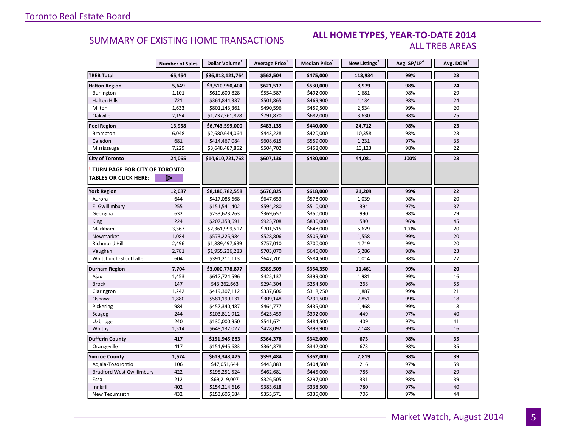#### **ALL HOME TYPES, YEAR-TO-DATE 2014** ALL TREB AREAS

|                                  | <b>Number of Sales</b> | Dollar Volume <sup>1</sup> | Average Price <sup>1</sup> | Median Price <sup>1</sup> | New Listings <sup>2</sup> | Avg. SP/LP <sup>4</sup> | Avg. DOM <sup>5</sup> |
|----------------------------------|------------------------|----------------------------|----------------------------|---------------------------|---------------------------|-------------------------|-----------------------|
| <b>TREB Total</b>                | 65,454                 | \$36,818,121,764           | \$562,504                  | \$475,000                 | 113,934                   | 99%                     | 23                    |
| <b>Halton Region</b>             | 5,649                  | \$3,510,950,404            | \$621,517                  | \$530,000                 | 8,979                     | 98%                     | 24                    |
| Burlington                       | 1,101                  | \$610,600,828              | \$554,587                  | \$492,000                 | 1,681                     | 98%                     | 29                    |
| <b>Halton Hills</b>              | 721                    | \$361,844,337              | \$501,865                  | \$469,900                 | 1,134                     | 98%                     | 24                    |
| Milton                           | 1,633                  | \$801,143,361              | \$490,596                  | \$459,500                 | 2,534                     | 99%                     | 20                    |
| Oakville                         | 2,194                  | \$1,737,361,878            | \$791,870                  | \$682,000                 | 3,630                     | 98%                     | 25                    |
| <b>Peel Region</b>               | 13,958                 | \$6,743,599,000            | \$483,135                  | \$440,000                 | 24,712                    | 98%                     | 23                    |
| Brampton                         | 6,048                  | \$2,680,644,064            | \$443,228                  | \$420,000                 | 10,358                    | 98%                     | 23                    |
| Caledon                          | 681                    | \$414,467,084              | \$608,615                  | \$559,000                 | 1,231                     | 97%                     | 35                    |
| Mississauga                      | 7,229                  | \$3,648,487,852            | \$504,702                  | \$458,000                 | 13,123                    | 98%                     | 22                    |
| <b>City of Toronto</b>           | 24,065                 | \$14,610,721,768           | \$607,136                  | \$480,000                 | 44,081                    | 100%                    | 23                    |
| TURN PAGE FOR CITY OF TORONTO    |                        |                            |                            |                           |                           |                         |                       |
| <b>TABLES OR CLICK HERE:</b>     |                        |                            |                            |                           |                           |                         |                       |
| <b>York Region</b>               | 12,087                 | \$8,180,782,558            | \$676,825                  | \$618,000                 | 21,209                    | 99%                     | 22                    |
| Aurora                           | 644                    | \$417,088,668              | \$647,653                  | \$578,000                 | 1,039                     | 98%                     | 20                    |
| E. Gwillimbury                   | 255                    | \$151,541,402              | \$594,280                  | \$510,000                 | 394                       | 97%                     | 37                    |
| Georgina                         | 632                    | \$233,623,263              | \$369,657                  | \$350,000                 | 990                       | 98%                     | 29                    |
| King                             | 224                    | \$207,358,691              | \$925,708                  | \$830,000                 | 580                       | 96%                     | 45                    |
| Markham                          | 3,367                  | \$2,361,999,517            | \$701,515                  | \$648,000                 | 5,629                     | 100%                    | 20                    |
| Newmarket                        | 1,084                  | \$573,225,984              | \$528,806                  | \$505,500                 | 1,558                     | 99%                     | 20                    |
| Richmond Hill                    | 2,496                  | \$1,889,497,639            | \$757,010                  | \$700,000                 | 4,719                     | 99%                     | 20                    |
| Vaughan                          | 2,781                  | \$1,955,236,283            | \$703,070                  | \$645,000                 | 5,286                     | 98%                     | 23                    |
| Whitchurch-Stouffville           | 604                    | \$391,211,113              | \$647,701                  | \$584,500                 | 1,014                     | 98%                     | 27                    |
| <b>Durham Region</b>             | 7,704                  | \$3,000,778,877            | \$389,509                  | \$364,350                 | 11,461                    | 99%                     | 20                    |
| Ajax                             | 1,453                  | \$617,724,596              | \$425,137                  | \$399,000                 | 1,981                     | 99%                     | 16                    |
| <b>Brock</b>                     | 147                    | \$43,262,663               | \$294,304                  | \$254,500                 | 268                       | 96%                     | 55                    |
| Clarington                       | 1,242                  | \$419,307,112              | \$337,606                  | \$318,250                 | 1,887                     | 99%                     | 21                    |
| Oshawa                           | 1,880                  | \$581,199,131              | \$309,148                  | \$291,500                 | 2,851                     | 99%                     | 18                    |
| Pickering                        | 984                    | \$457,340,487              | \$464,777                  | \$435,000                 | 1,468                     | 99%                     | 18                    |
| Scugog                           | 244                    | \$103,811,912              | \$425,459                  | \$392,000                 | 449                       | 97%                     | 40                    |
| Uxbridge                         | 240                    | \$130,000,950              | \$541,671                  | \$484,500                 | 409                       | 97%                     | 41                    |
| Whitby                           | 1,514                  | \$648,132,027              | \$428,092                  | \$399,900                 | 2,148                     | 99%                     | 16                    |
| <b>Dufferin County</b>           | 417                    | \$151,945,683              | \$364,378                  | \$342,000                 | 673                       | 98%                     | 35                    |
| Orangeville                      | 417                    | \$151,945,683              | \$364,378                  | \$342,000                 | 673                       | 98%                     | 35                    |
| <b>Simcoe County</b>             | 1,574                  | \$619,343,475              | \$393,484                  | \$362,000                 | 2,819                     | 98%                     | 39                    |
| Adjala-Tosorontio                | 106                    | \$47,051,644               | \$443,883                  | \$404,500                 | 216                       | 97%                     | 59                    |
| <b>Bradford West Gwillimbury</b> | 422                    | \$195,251,524              | \$462,681                  | \$445,000                 | 786                       | 98%                     | 29                    |
| Essa                             | 212                    | \$69,219,007               | \$326,505                  | \$297,000                 | 331                       | 98%                     | 39                    |
| Innisfil                         | 402                    | \$154,214,616              | \$383,618                  | \$338,500                 | 780                       | 97%                     | 40                    |
| New Tecumseth                    | 432                    | \$153,606,684              | \$355,571                  | \$335,000                 | 706                       | 97%                     | 44                    |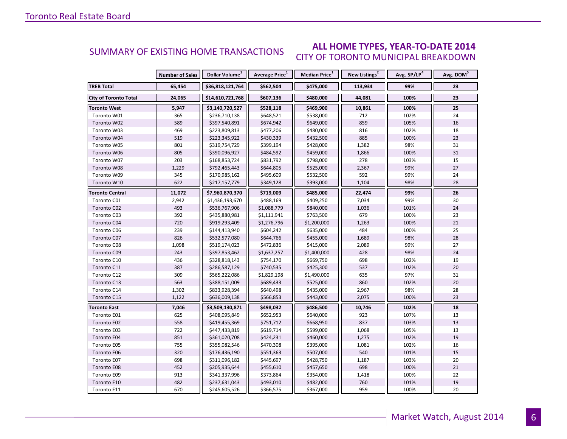#### **ALL HOME TYPES, YEAR-TO-DATE 2014** CITY OF TORONTO MUNICIPAL BREAKDOWN SUMMARY OF EXISTING HOME TRANSACTIONS

|                              | <b>Number of Sales</b> | Dollar Volume <sup>1</sup> | Average Price <sup>1</sup> | Median Price <sup>1</sup> | New Listings <sup>2</sup> | Avg. SP/LP <sup>4</sup> | Avg. DOM <sup>5</sup> |
|------------------------------|------------------------|----------------------------|----------------------------|---------------------------|---------------------------|-------------------------|-----------------------|
| <b>TREB Total</b>            | 65,454                 | \$36,818,121,764           | \$562,504                  | \$475,000                 | 113,934                   | 99%                     | 23                    |
| <b>City of Toronto Total</b> | 24,065                 | \$14,610,721,768           | \$607,136                  | \$480,000                 | 44,081                    | 100%                    | 23                    |
| <b>Toronto West</b>          | 5,947                  | \$3,140,720,527            | \$528,118                  | \$469,900                 | 10,861                    | 100%                    | 25                    |
| Toronto W01                  | 365                    | \$236,710,138              | \$648,521                  | \$538,000                 | 712                       | 102%                    | 24                    |
| Toronto W02                  | 589                    | \$397,540,891              | \$674,942                  | \$649,000                 | 859                       | 105%                    | 16                    |
| Toronto W03                  | 469                    | \$223,809,813              | \$477,206                  | \$480,000                 | 816                       | 102%                    | 18                    |
| Toronto W04                  | 519                    | \$223,345,922              | \$430,339                  | \$432,500                 | 885                       | 100%                    | 23                    |
| Toronto W05                  | 801                    | \$319,754,729              | \$399,194                  | \$428,000                 | 1,382                     | 98%                     | 31                    |
| Toronto W06                  | 805                    | \$390,096,927              | \$484,592                  | \$459,000                 | 1,866                     | 100%                    | 31                    |
| Toronto W07                  | 203                    | \$168,853,724              | \$831,792                  | \$798,000                 | 278                       | 103%                    | 15                    |
| Toronto W08                  | 1,229                  | \$792,465,443              | \$644,805                  | \$525,000                 | 2,367                     | 99%                     | 27                    |
| Toronto W09                  | 345                    | \$170,985,162              | \$495,609                  | \$532,500                 | 592                       | 99%                     | 24                    |
| Toronto W10                  | 622                    | \$217,157,779              | \$349,128                  | \$393,000                 | 1,104                     | 98%                     | 28                    |
| <b>Toronto Central</b>       | 11,072                 | \$7,960,870,370            | \$719,009                  | \$485,000                 | 22,474                    | 99%                     | 26                    |
| Toronto C01                  | 2,942                  | \$1,436,193,670            | \$488,169                  | \$409,250                 | 7,034                     | 99%                     | 30                    |
| Toronto C02                  | 493                    | \$536,767,906              | \$1,088,779                | \$840,000                 | 1,036                     | 101%                    | 24                    |
| Toronto C03                  | 392                    | \$435,880,981              | \$1,111,941                | \$763,500                 | 679                       | 100%                    | 23                    |
| Toronto C04                  | 720                    | \$919,293,409              | \$1,276,796                | \$1,200,000               | 1,263                     | 100%                    | 21                    |
| Toronto C06                  | 239                    | \$144,413,940              | \$604,242                  | \$635,000                 | 484                       | 100%                    | 25                    |
| Toronto C07                  | 826                    | \$532,577,080              | \$644,766                  | \$455,000                 | 1,689                     | 98%                     | 28                    |
| Toronto C08                  | 1,098                  | \$519,174,023              | \$472,836                  | \$415,000                 | 2,089                     | 99%                     | 27                    |
| Toronto C09                  | 243                    | \$397,853,462              | \$1,637,257                | \$1,400,000               | 428                       | 98%                     | 24                    |
| Toronto C10                  | 436                    | \$328,818,143              | \$754,170                  | \$669,750                 | 698                       | 102%                    | 19                    |
| Toronto C11                  | 387                    | \$286,587,129              | \$740,535                  | \$425,300                 | 537                       | 102%                    | 20                    |
| Toronto C12                  | 309                    | \$565,222,086              | \$1,829,198                | \$1,490,000               | 635                       | 97%                     | 31                    |
| Toronto C13                  | 563                    | \$388,151,009              | \$689,433                  | \$525,000                 | 860                       | 102%                    | 20                    |
| Toronto C14                  | 1,302                  | \$833,928,394              | \$640,498                  | \$435,000                 | 2,967                     | 98%                     | 28                    |
| Toronto C15                  | 1,122                  | \$636,009,138              | \$566,853                  | \$443,000                 | 2,075                     | 100%                    | 23                    |
| Toronto East                 | 7,046                  | \$3,509,130,871            | \$498,032                  | \$486,500                 | 10,746                    | 102%                    | 18                    |
| Toronto E01                  | 625                    | \$408,095,849              | \$652,953                  | \$640,000                 | 923                       | 107%                    | 13                    |
| Toronto E02                  | 558                    | \$419,455,369              | \$751,712                  | \$668,950                 | 837                       | 103%                    | 13                    |
| Toronto E03                  | 722                    | \$447,433,819              | \$619,714                  | \$599,000                 | 1,068                     | 105%                    | 13                    |
| Toronto E04                  | 851                    | \$361,020,708              | \$424,231                  | \$460,000                 | 1,275                     | 102%                    | 19                    |
| Toronto E05                  | 755                    | \$355,082,546              | \$470,308                  | \$395,000                 | 1,081                     | 102%                    | 16                    |
| Toronto E06                  | 320                    | \$176,436,190              | \$551,363                  | \$507,000                 | 540                       | 101%                    | 15                    |
| Toronto E07                  | 698                    | \$311,096,182              | \$445,697                  | \$428,750                 | 1,187                     | 103%                    | 20                    |
| Toronto E08                  | 452                    | \$205,935,644              | \$455,610                  | \$457,650                 | 698                       | 100%                    | 21                    |
| Toronto E09                  | 913                    | \$341,337,996              | \$373,864                  | \$354,000                 | 1,418                     | 100%                    | 22                    |
| Toronto E10                  | 482                    | \$237,631,043              | \$493,010                  | \$482,000                 | 760                       | 101%                    | 19                    |
| Toronto E11                  | 670                    | \$245,605,526              | \$366,575                  | \$367,000                 | 959                       | 100%                    | 20                    |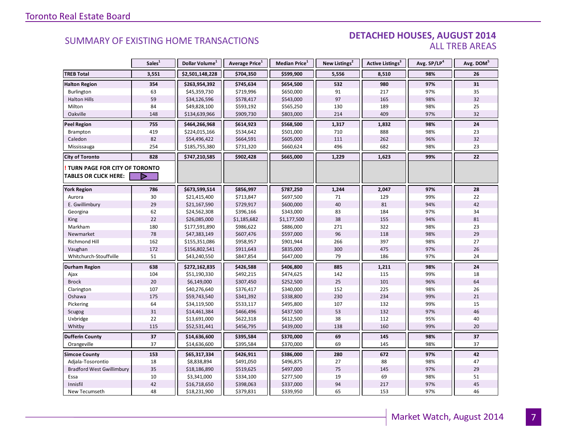#### DETACHED HOUSES, AUGUST 2014 ALL TREB AREAS

|                                  | Sales <sup>1</sup> | Dollar Volume <sup>1</sup> | Average Price <sup>1</sup> | Median Price <sup>1</sup> | New Listings <sup>2</sup> | <b>Active Listings<sup>3</sup></b> | Avg. SP/LP <sup>4</sup> | Avg. DOM <sup>5</sup> |
|----------------------------------|--------------------|----------------------------|----------------------------|---------------------------|---------------------------|------------------------------------|-------------------------|-----------------------|
| <b>TREB Total</b>                | 3,551              | \$2,501,148,228            | \$704,350                  | \$599,900                 | 5,556                     | 8,510                              | 98%                     | 26                    |
| <b>Halton Region</b>             | 354                | \$263,954,392              | \$745,634                  | \$654,500                 | 532                       | 980                                | 97%                     | 31                    |
| Burlington                       | 63                 | \$45,359,730               | \$719,996                  | \$650,000                 | 91                        | 217                                | 97%                     | 35                    |
| <b>Halton Hills</b>              | 59                 | \$34,126,596               | \$578,417                  | \$543,000                 | 97                        | 165                                | 98%                     | 32                    |
| Milton                           | 84                 | \$49,828,100               | \$593,192                  | \$565,250                 | 130                       | 189                                | 98%                     | 25                    |
| Oakville                         | 148                | \$134,639,966              | \$909,730                  | \$803,000                 | 214                       | 409                                | 97%                     | 32                    |
| <b>Peel Region</b>               | 755                | \$464,266,968              | \$614,923                  | \$568,500                 | 1,317                     | 1,832                              | 98%                     | 24                    |
| Brampton                         | 419                | \$224,015,166              | \$534,642                  | \$501,000                 | 710                       | 888                                | 98%                     | 23                    |
| Caledon                          | 82                 | \$54,496,422               | \$664,591                  | \$605,000                 | 111                       | 262                                | 96%                     | 32                    |
| Mississauga                      | 254                | \$185,755,380              | \$731,320                  | \$660,624                 | 496                       | 682                                | 98%                     | 23                    |
| <b>City of Toronto</b>           | 828                | \$747,210,585              | \$902,428                  | \$665,000                 | 1,229                     | 1,623                              | 99%                     | 22                    |
| TURN PAGE FOR CITY OF TORONTO    |                    |                            |                            |                           |                           |                                    |                         |                       |
| <b>TABLES OR CLICK HERE:</b>     |                    |                            |                            |                           |                           |                                    |                         |                       |
| <b>York Region</b>               | 786                | \$673,599,514              | \$856,997                  | \$787,250                 | 1,244                     | 2,047                              | 97%                     | 28                    |
| Aurora                           | 30                 | \$21,415,400               | \$713,847                  | \$697,500                 | 71                        | 129                                | 99%                     | 22                    |
| E. Gwillimbury                   | 29                 | \$21,167,590               | \$729,917                  | \$600,000                 | 40                        | 81                                 | 94%                     | 42                    |
| Georgina                         | 62                 | \$24,562,308               | \$396,166                  | \$343,000                 | 83                        | 184                                | 97%                     | 34                    |
| King                             | 22                 | \$26,085,000               | \$1,185,682                | \$1,177,500               | 38                        | 155                                | 94%                     | 81                    |
| Markham                          | 180                | \$177,591,890              | \$986,622                  | \$886,000                 | 271                       | 322                                | 98%                     | 23                    |
| Newmarket                        | 78                 | \$47,383,149               | \$607,476                  | \$597,000                 | 96                        | 118                                | 98%                     | 29                    |
| Richmond Hill                    | 162                | \$155,351,086              | \$958,957                  | \$901,944                 | 266                       | 397                                | 98%                     | 27                    |
| Vaughan                          | 172                | \$156,802,541              | \$911,643                  | \$835,000                 | 300                       | 475                                | 97%                     | 26                    |
| Whitchurch-Stouffville           | 51                 | \$43,240,550               | \$847,854                  | \$647,000                 | 79                        | 186                                | 97%                     | 24                    |
| <b>Durham Region</b>             | 638                | \$272,162,835              | \$426,588                  | \$406,800                 | 885                       | 1,211                              | 98%                     | 24                    |
| Ajax                             | 104                | \$51,190,330               | \$492,215                  | \$474,625                 | 142                       | 115                                | 99%                     | 18                    |
| <b>Brock</b>                     | 20                 | \$6,149,000                | \$307,450                  | \$252,500                 | 25                        | 101                                | 96%                     | 64                    |
| Clarington                       | 107                | \$40,276,640               | \$376,417                  | \$340,000                 | 152                       | 225                                | 98%                     | 26                    |
| Oshawa                           | 175                | \$59,743,540               | \$341,392                  | \$338,800                 | 230                       | 234                                | 99%                     | 21                    |
| Pickering                        | 64                 | \$34,119,500               | \$533,117                  | \$495,800                 | 107                       | 132                                | 99%                     | 15                    |
| Scugog                           | 31                 | \$14,461,384               | \$466,496                  | \$437,500                 | 53                        | 132                                | 97%                     | 46                    |
| Uxbridge                         | 22                 | \$13,691,000               | \$622,318                  | \$612,500                 | 38                        | 112                                | 95%                     | 40                    |
| Whitby                           | 115                | \$52,531,441               | \$456,795                  | \$439,000                 | 138                       | 160                                | 99%                     | 20                    |
| <b>Dufferin County</b>           | 37                 | \$14,636,600               | \$395,584                  | \$370,000                 | 69                        | 145                                | 98%                     | 37                    |
| Orangeville                      | 37                 | \$14,636,600               | \$395,584                  | \$370,000                 | 69                        | 145                                | 98%                     | 37                    |
| <b>Simcoe County</b>             | 153                | \$65,317,334               | \$426,911                  | \$386,000                 | 280                       | 672                                | 97%                     | 42                    |
| Adjala-Tosorontio                | 18                 | \$8,838,894                | \$491,050                  | \$496,875                 | 27                        | 88                                 | 98%                     | 47                    |
| <b>Bradford West Gwillimbury</b> | 35                 | \$18,186,890               | \$519,625                  | \$497,000                 | 75                        | 145                                | 97%                     | 29                    |
| Essa                             | 10                 | \$3,341,000                | \$334,100                  | \$277,500                 | 19                        | 69                                 | 98%                     | 51                    |
| Innisfil                         | 42                 | \$16,718,650               | \$398,063                  | \$337,000                 | 94                        | 217                                | 97%                     | 45                    |
| New Tecumseth                    | 48                 | \$18,231,900               | \$379,831                  | \$339,950                 | 65                        | 153                                | 97%                     | 46                    |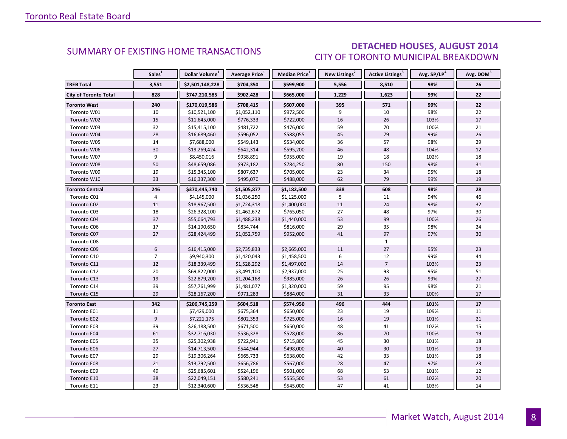### DETACHED HOUSES, AUGUST 2014 CITY OF TORONTO MUNICIPAL BREAKDOWN

<span id="page-7-0"></span>

|                              | Sales <sup>1</sup> | Dollar Volume <sup>1</sup> | Average Price <sup>1</sup> | Median Price <sup>1</sup> | New Listings <sup>2</sup> | Active Listings <sup>3</sup> | Avg. SP/LP <sup>4</sup> | Avg. DOM <sup>5</sup> |
|------------------------------|--------------------|----------------------------|----------------------------|---------------------------|---------------------------|------------------------------|-------------------------|-----------------------|
| <b>TREB Total</b>            | 3,551              | \$2,501,148,228            | \$704,350                  | \$599,900                 | 5,556                     | 8,510                        | 98%                     | 26                    |
| <b>City of Toronto Total</b> | 828                | \$747,210,585              | \$902,428                  | \$665,000                 | 1,229                     | 1,623                        | 99%                     | 22                    |
| <b>Toronto West</b>          | 240                | \$170,019,586              | \$708,415                  | \$607,000                 | 395                       | 571                          | 99%                     | 22                    |
| Toronto W01                  | 10                 | \$10,521,100               | \$1,052,110                | \$972,500                 | 9                         | 10                           | 98%                     | 22                    |
| Toronto W02                  | 15                 | \$11,645,000               | \$776,333                  | \$722,000                 | 16                        | 26                           | 103%                    | 17                    |
| Toronto W03                  | 32                 | \$15,415,100               | \$481,722                  | \$476,000                 | 59                        | 70                           | 100%                    | 21                    |
| Toronto W04                  | 28                 | \$16,689,460               | \$596,052                  | \$588,055                 | 45                        | 79                           | 99%                     | 26                    |
| Toronto W05                  | 14                 | \$7,688,000                | \$549,143                  | \$534,000                 | 36                        | 57                           | 98%                     | 29                    |
| Toronto W06                  | 30                 | \$19,269,424               | \$642,314                  | \$595,200                 | 46                        | 48                           | 104%                    | 12                    |
| Toronto W07                  | 9                  | \$8,450,016                | \$938,891                  | \$955,000                 | 19                        | 18                           | 102%                    | 18                    |
| Toronto W08                  | 50                 | \$48,659,086               | \$973,182                  | \$784,250                 | 80                        | 150                          | 98%                     | 31                    |
| Toronto W09                  | 19                 | \$15,345,100               | \$807,637                  | \$705,000                 | 23                        | 34                           | 95%                     | 18                    |
| Toronto W10                  | 33                 | \$16,337,300               | \$495,070                  | \$488,000                 | 62                        | 79                           | 99%                     | 19                    |
| <b>Toronto Central</b>       | 246                | \$370,445,740              | \$1,505,877                | \$1,182,500               | 338                       | 608                          | 98%                     | 28                    |
| Toronto C01                  | $\overline{4}$     | \$4,145,000                | \$1,036,250                | \$1,125,000               | 5                         | 11                           | 94%                     | 46                    |
| Toronto C02                  | 11                 | \$18,967,500               | \$1,724,318                | \$1,400,000               | 11                        | 24                           | 98%                     | 32                    |
| Toronto C03                  | 18                 | \$26,328,100               | \$1,462,672                | \$765,050                 | 27                        | 48                           | 97%                     | 30                    |
| Toronto C04                  | 37                 | \$55,064,793               | \$1,488,238                | \$1,440,000               | 53                        | 99                           | 100%                    | 26                    |
| Toronto C06                  | 17                 | \$14,190,650               | \$834,744                  | \$816,000                 | 29                        | 35                           | 98%                     | 24                    |
| Toronto C07                  | 27                 | \$28,424,499               | \$1,052,759                | \$952,000                 | 41                        | 97                           | 97%                     | 30                    |
| Toronto C08                  |                    |                            |                            |                           |                           | $\mathbf{1}$                 |                         |                       |
| Toronto C09                  | $6\,$              | \$16,415,000               | \$2,735,833                | \$2,665,000               | 11                        | $27$                         | 95%                     | 23                    |
| Toronto C10                  | $\overline{7}$     | \$9,940,300                | \$1,420,043                | \$1,458,500               | 6                         | 12                           | 99%                     | 44                    |
| Toronto C11                  | 12                 | \$18,339,499               | \$1,528,292                | \$1,497,000               | 14                        | $\overline{7}$               | 103%                    | 23                    |
| Toronto C12                  | 20                 | \$69,822,000               | \$3,491,100                | \$2,937,000               | 25                        | 93                           | 95%                     | 51                    |
| Toronto C13                  | 19                 | \$22,879,200               | \$1,204,168                | \$985,000                 | 26                        | 26                           | 99%                     | 27                    |
| Toronto C14                  | 39                 | \$57,761,999               | \$1,481,077                | \$1,320,000               | 59                        | 95                           | 98%                     | 21                    |
| Toronto C15                  | 29                 | \$28,167,200               | \$971,283                  | \$884,000                 | 31                        | 33                           | 100%                    | 17                    |
| <b>Toronto East</b>          | 342                | \$206,745,259              | \$604,518                  | \$574,950                 | 496                       | 444                          | 101%                    | 17                    |
| Toronto E01                  | 11                 | \$7,429,000                | \$675,364                  | \$650,000                 | 23                        | 19                           | 109%                    | 11                    |
| Toronto E02                  | 9                  | \$7,221,175                | \$802,353                  | \$725,000                 | 16                        | 19                           | 101%                    | 21                    |
| Toronto E03                  | 39                 | \$26,188,500               | \$671,500                  | \$650,000                 | 48                        | 41                           | 102%                    | 15                    |
| Toronto E04                  | 61                 | \$32,716,030               | \$536,328                  | \$528,000                 | 86                        | 70                           | 100%                    | 19                    |
| Toronto E05                  | 35                 | \$25,302,938               | \$722,941                  | \$715,800                 | 45                        | 30                           | 101%                    | 18                    |
| Toronto E06                  | 27                 | \$14,713,500               | \$544,944                  | \$498,000                 | 40                        | 30                           | 101%                    | 19                    |
| Toronto E07                  | 29                 | \$19,306,264               | \$665,733                  | \$638,000                 | 42                        | 33                           | 101%                    | 18                    |
| Toronto E08                  | 21                 | \$13,792,500               | \$656,786                  | \$567,000                 | 28                        | 47                           | 97%                     | 23                    |
| Toronto E09                  | 49                 | \$25,685,601               | \$524,196                  | \$501,000                 | 68                        | 53                           | 101%                    | 12                    |
| Toronto E10                  | 38                 | \$22,049,151               | \$580,241                  | \$555,500                 | 53                        | 61                           | 102%                    | 20                    |
| Toronto E11                  | 23                 | \$12,340,600               | \$536,548                  | \$545,000                 | 47                        | 41                           | 103%                    | 14                    |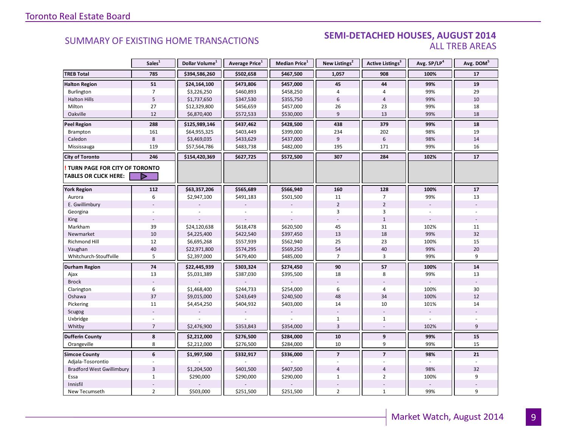#### **Industrial Leasing SEMI-DETACHED HOUSES, AUGUST 2014**<br>ALL TREB AREAS ALL TREB AREAS

|                                  | Sales <sup>1</sup> | Dollar Volume <sup>1</sup> | Average Price <sup>1</sup> | <b>Median Price</b> <sup>1</sup> | New Listings <sup>2</sup> | Active Listings <sup>3</sup> | Avg. SP/LP4 | Avg. DOM <sup>5</sup> |
|----------------------------------|--------------------|----------------------------|----------------------------|----------------------------------|---------------------------|------------------------------|-------------|-----------------------|
| <b>TREB Total</b>                | 785                | \$394,586,260              | \$502,658                  | \$467,500                        | 1,057                     | 908                          | 100%        | 17                    |
| <b>Halton Region</b>             | 51                 | \$24,164,100               | \$473,806                  | \$457,000                        | 45                        | 44                           | 99%         | 19                    |
| Burlington                       | $\overline{7}$     | \$3,226,250                | \$460,893                  | \$458,250                        | 4                         | $\overline{4}$               | 99%         | 29                    |
| <b>Halton Hills</b>              | 5                  | \$1,737,650                | \$347,530                  | \$355,750                        | 6                         | $\overline{4}$               | 99%         | 10                    |
| Milton                           | 27                 | \$12,329,800               | \$456,659                  | \$457,000                        | 26                        | 23                           | 99%         | 18                    |
| Oakville                         | 12                 | \$6,870,400                | \$572,533                  | \$530,000                        | 9                         | 13                           | 99%         | 18                    |
| <b>Peel Region</b>               | 288                | \$125,989,146              | \$437,462                  | \$428,500                        | 438                       | 379                          | 99%         | 18                    |
| Brampton                         | 161                | \$64,955,325               | \$403,449                  | \$399,000                        | 234                       | 202                          | 98%         | 19                    |
| Caledon                          | 8                  | \$3,469,035                | \$433,629                  | \$437,000                        | 9                         | 6                            | 98%         | 14                    |
| Mississauga                      | 119                | \$57,564,786               | \$483,738                  | \$482,000                        | 195                       | 171                          | 99%         | 16                    |
| <b>City of Toronto</b>           | 246                | \$154,420,369              | \$627,725                  | \$572,500                        | 307                       | 284                          | 102%        | 17                    |
| TURN PAGE FOR CITY OF TORONTO    |                    |                            |                            |                                  |                           |                              |             |                       |
| <b>TABLES OR CLICK HERE:</b>     | Þ                  |                            |                            |                                  |                           |                              |             |                       |
| <b>York Region</b>               | 112                | \$63,357,206               | \$565,689                  | \$566,940                        | 160                       | 128                          | 100%        | 17                    |
| Aurora                           | 6                  | \$2,947,100                | \$491,183                  | \$501,500                        | 11                        | $\overline{7}$               | 99%         | 13                    |
| E. Gwillimbury                   |                    |                            |                            |                                  | $\overline{2}$            | $\overline{2}$               |             |                       |
| Georgina                         |                    |                            |                            |                                  | 3                         | 3                            |             |                       |
| King                             | $\sim$             |                            |                            |                                  |                           | $1\,$                        |             |                       |
| Markham                          | 39                 | \$24,120,638               | \$618,478                  | \$620,500                        | 45                        | 31                           | 102%        | 11                    |
| Newmarket                        | $10\,$             | \$4,225,400                | \$422,540                  | \$397,450                        | 13                        | 18                           | 99%         | 32                    |
| Richmond Hill                    | 12                 | \$6,695,268                | \$557,939                  | \$562,940                        | 25                        | 23                           | 100%        | 15                    |
| Vaughan                          | 40                 | \$22,971,800               | \$574,295                  | \$569,250                        | 54                        | 40                           | 99%         | 20                    |
| Whitchurch-Stouffville           | 5                  | \$2,397,000                | \$479,400                  | \$485,000                        | $\overline{7}$            | 3                            | 99%         | 9                     |
| Durham Region                    | 74                 | \$22,445,939               | \$303,324                  | \$274,450                        | 90                        | 57                           | 100%        | ${\bf 14}$            |
| Ajax                             | 13                 | \$5,031,389                | \$387,030                  | \$395,500                        | 18                        | 8                            | 99%         | 13                    |
| <b>Brock</b>                     |                    |                            |                            |                                  |                           |                              |             |                       |
| Clarington                       | $\boldsymbol{6}$   | \$1,468,400                | \$244,733                  | \$254,000                        | 6                         | $\overline{4}$               | 100%        | $30\,$                |
| Oshawa                           | 37                 | \$9,015,000                | \$243,649                  | \$240,500                        | 48                        | 34                           | 100%        | 12                    |
| Pickering                        | 11                 | \$4,454,250                | \$404,932                  | \$403,000                        | 14                        | 10                           | 101%        | 14                    |
| Scugog                           |                    |                            |                            |                                  |                           |                              |             |                       |
| Uxbridge                         |                    |                            |                            |                                  | $\mathbf{1}$              | $\mathbf{1}$                 |             |                       |
| Whitby                           | $\overline{7}$     | \$2,476,900                | \$353,843                  | \$354,000                        | 3                         |                              | 102%        | 9                     |
| <b>Dufferin County</b>           | $\pmb{8}$          | \$2,212,000                | \$276,500                  | \$284,000                        | 10                        | $\boldsymbol{9}$             | 99%         | ${\bf 15}$            |
| Orangeville                      | 8                  | \$2,212,000                | \$276,500                  | \$284,000                        | 10                        | 9                            | 99%         | 15                    |
| <b>Simcoe County</b>             | 6                  | \$1,997,500                | \$332,917                  | \$336,000                        | $\overline{\mathbf{z}}$   | $\overline{7}$               | 98%         | 21                    |
| Adjala-Tosorontio                |                    |                            |                            |                                  |                           |                              |             |                       |
| <b>Bradford West Gwillimbury</b> | $\overline{3}$     | \$1,204,500                | \$401,500                  | \$407,500                        | $\overline{4}$            | $\overline{4}$               | 98%         | 32                    |
| Essa                             | $\mathbf{1}$       | \$290,000                  | \$290,000                  | \$290,000                        | $\mathbf{1}$              | $\overline{2}$               | 100%        | 9                     |
| Innisfil                         |                    |                            |                            |                                  |                           |                              |             |                       |
| New Tecumseth                    | $\overline{2}$     | \$503,000                  | \$251,500                  | \$251,500                        | $\overline{2}$            | $\mathbf{1}$                 | 99%         | 9                     |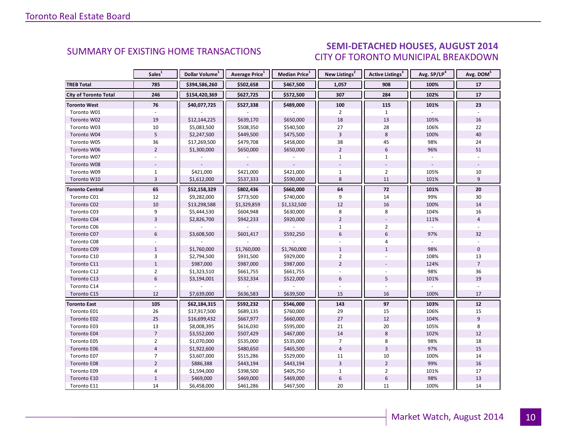### SEMI-DETACHED HOUSES, AUGUST 2014 CITY OF TORONTO MUNICIPAL BREAKDOWN

<span id="page-9-0"></span>

|                              | Sales <sup>1</sup> | Dollar Volume <sup>1</sup> | Average Price <sup>1</sup> | Median Price <sup>1</sup> | New Listings <sup>2</sup> | <b>Active Listings<sup>3</sup></b> | Avg. SP/LP <sup>4</sup> | Avg. DOM <sup>5</sup> |
|------------------------------|--------------------|----------------------------|----------------------------|---------------------------|---------------------------|------------------------------------|-------------------------|-----------------------|
| <b>TREB Total</b>            | 785                | \$394,586,260              | \$502,658                  | \$467,500                 | 1,057                     | 908                                | 100%                    | 17                    |
| <b>City of Toronto Total</b> | 246                | \$154,420,369              | \$627,725                  | \$572,500                 | 307                       | 284                                | 102%                    | 17                    |
| <b>Toronto West</b>          | 76                 | \$40,077,725               | \$527,338                  | \$489,000                 | 100                       | 115                                | 101%                    | 23                    |
| Toronto W01                  |                    |                            |                            |                           | $\overline{2}$            | $\mathbf{1}$                       |                         |                       |
| Toronto W02                  | 19                 | \$12,144,225               | \$639,170                  | \$650,000                 | 18                        | 13                                 | 105%                    | 16                    |
| Toronto W03                  | 10                 | \$5,083,500                | \$508,350                  | \$540,500                 | 27                        | 28                                 | 106%                    | 22                    |
| Toronto W04                  | 5                  | \$2,247,500                | \$449,500                  | \$475,500                 | $\overline{3}$            | 8                                  | 100%                    | 40                    |
| Toronto W05                  | 36                 | \$17,269,500               | \$479,708                  | \$458,000                 | 38                        | 45                                 | 98%                     | 24                    |
| Toronto W06                  | $\overline{2}$     | \$1,300,000                | \$650,000                  | \$650,000                 | $\overline{2}$            | $6\overline{6}$                    | 96%                     | 51                    |
| Toronto W07                  |                    |                            |                            |                           | $\mathbf{1}$              | $\mathbf{1}$                       |                         |                       |
| Toronto W08                  |                    |                            |                            |                           |                           |                                    |                         |                       |
| Toronto W09                  | $\mathbf{1}$       | \$421,000                  | \$421,000                  | \$421,000                 | $\mathbf{1}$              | $\overline{2}$                     | 105%                    | 10                    |
| Toronto W10                  | $\overline{3}$     | \$1,612,000                | \$537,333                  | \$590,000                 | 8                         | 11                                 | 101%                    | 9                     |
| <b>Toronto Central</b>       | 65                 | \$52,158,329               | \$802,436                  | \$660,000                 | 64                        | ${\bf 72}$                         | 101%                    | 20                    |
| Toronto C01                  | 12                 | \$9,282,000                | \$773,500                  | \$740,000                 | 9                         | 14                                 | 99%                     | 30                    |
| Toronto C02                  | 10                 | \$13,298,588               | \$1,329,859                | \$1,132,500               | 12                        | 16                                 | 100%                    | 14                    |
| Toronto C03                  | 9                  | \$5,444,530                | \$604,948                  | \$630,000                 | 8                         | 8                                  | 104%                    | 16                    |
| Toronto C04                  | $\overline{3}$     | \$2,826,700                | \$942,233                  | \$920,000                 | $\overline{2}$            |                                    | 111%                    | $\overline{4}$        |
| Toronto C06                  |                    |                            |                            |                           | $\mathbf{1}$              | $\overline{2}$                     |                         |                       |
| Toronto C07                  | 6                  | \$3,608,500                | \$601,417                  | \$592,250                 | 6                         | 6                                  | 97%                     | 32                    |
| Toronto C08                  |                    |                            |                            |                           |                           | 4                                  |                         |                       |
| Toronto C09                  | $\mathbf{1}$       | \$1,760,000                | \$1,760,000                | \$1,760,000               | $\mathbf{1}$              | $\mathbf{1}$                       | 98%                     | $\mathbf 0$           |
| Toronto C10                  | $\overline{3}$     | \$2,794,500                | \$931,500                  | \$929,000                 | 2                         |                                    | 108%                    | 13                    |
| Toronto C11                  | $\mathbf{1}$       | \$987,000                  | \$987,000                  | \$987,000                 | $\overline{2}$            |                                    | 124%                    | $\overline{7}$        |
| Toronto C12                  | $\overline{2}$     | \$1,323,510                | \$661,755                  | \$661,755                 |                           |                                    | 98%                     | 36                    |
| Toronto C13                  | $6\overline{6}$    | \$3,194,001                | \$532,334                  | \$522,000                 | 6                         | 5                                  | 101%                    | 19                    |
| Toronto C14                  |                    |                            |                            |                           |                           |                                    |                         |                       |
| Toronto C15                  | 12                 | \$7,639,000                | \$636,583                  | \$639,500                 | 15                        | 16                                 | 100%                    | 17                    |
| <b>Toronto East</b>          | 105                | \$62,184,315               | \$592,232                  | \$546,000                 | 143                       | 97                                 | 103%                    | $12$                  |
| Toronto E01                  | 26                 | \$17,917,500               | \$689,135                  | \$760,000                 | 29                        | 15                                 | 106%                    | 15                    |
| Toronto E02                  | 25                 | \$16,699,432               | \$667,977                  | \$660,000                 | 27                        | 12                                 | 104%                    | 9                     |
| Toronto E03                  | 13                 | \$8,008,395                | \$616,030                  | \$595,000                 | 21                        | 20                                 | 105%                    | 8                     |
| Toronto E04                  | $\overline{7}$     | \$3,552,000                | \$507,429                  | \$467,000                 | 14                        | 8                                  | 102%                    | 12                    |
| Toronto E05                  | $\overline{2}$     | \$1,070,000                | \$535,000                  | \$535,000                 | $\overline{7}$            | 8                                  | 98%                     | 18                    |
| Toronto E06                  | $\overline{4}$     | \$1,922,600                | \$480,650                  | \$465,500                 | $\overline{4}$            | $\overline{3}$                     | 97%                     | 15                    |
| Toronto E07                  | $\overline{7}$     | \$3,607,000                | \$515,286                  | \$529,000                 | 11                        | 10                                 | 100%                    | 14                    |
| <b>Toronto E08</b>           | $\overline{2}$     | \$886,388                  | \$443,194                  | \$443,194                 | $\overline{3}$            | $\overline{2}$                     | 99%                     | 16                    |
| Toronto E09                  | $\overline{4}$     | \$1,594,000                | \$398,500                  | \$405,750                 | $\mathbf{1}$              | $\overline{2}$                     | 101%                    | 17                    |
| Toronto E10                  | $\mathbf{1}$       | \$469,000                  | \$469,000                  | \$469,000                 | $\boldsymbol{6}$          | $\boldsymbol{6}$                   | 98%                     | 13                    |
| Toronto E11                  | 14                 | \$6,458,000                | \$461,286                  | \$467,500                 | 20                        | 11                                 | 100%                    | 14                    |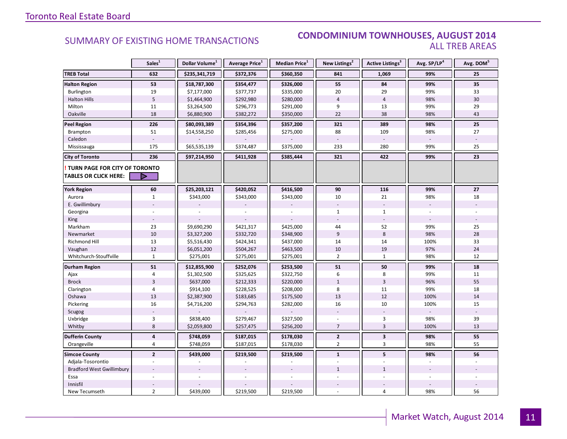#### **Industry Of EXISTING HOME TRANSACTIONS CONDOMINIUM TOWNHOUSES, AUGUST 2014** ALL TREB AREAS

|                                  | Sales <sup>1</sup> | Dollar Volume <sup>1</sup> | Average Price <sup>1</sup> | Median Price <sup>1</sup> | New Listings <sup>2</sup> | <b>Active Listings</b> <sup>3</sup> | Avg. SP/LP <sup>4</sup> | Avg. DOM <sup>5</sup> |
|----------------------------------|--------------------|----------------------------|----------------------------|---------------------------|---------------------------|-------------------------------------|-------------------------|-----------------------|
| <b>TREB Total</b>                | 632                | \$235,341,719              | \$372,376                  | \$360,350                 | 841                       | 1,069                               | 99%                     | 25                    |
| <b>Halton Region</b>             | 53                 | \$18,787,300               | \$354,477                  | \$326,000                 | 55                        | 84                                  | 99%                     | 35                    |
| Burlington                       | 19                 | \$7,177,000                | \$377,737                  | \$335,000                 | 20                        | 29                                  | 99%                     | 33                    |
| <b>Halton Hills</b>              | 5                  | \$1,464,900                | \$292,980                  | \$280,000                 | $\overline{4}$            | $\overline{4}$                      | 98%                     | 30                    |
| Milton                           | 11                 | \$3,264,500                | \$296,773                  | \$291,000                 | 9                         | 13                                  | 99%                     | 29                    |
| Oakville                         | 18                 | \$6,880,900                | \$382,272                  | \$350,000                 | 22                        | 38                                  | 98%                     | 43                    |
| <b>Peel Region</b>               | 226                | \$80,093,389               | \$354,396                  | \$357,200                 | 321                       | 389                                 | 98%                     | 25                    |
| Brampton                         | 51                 | \$14,558,250               | \$285,456                  | \$275,000                 | 88                        | 109                                 | 98%                     | 27                    |
| Caledon                          |                    |                            |                            |                           |                           |                                     |                         |                       |
| Mississauga                      | 175                | \$65,535,139               | \$374,487                  | \$375,000                 | 233                       | 280                                 | 99%                     | 25                    |
| <b>City of Toronto</b>           | 236                | \$97,214,950               | \$411,928                  | \$385,444                 | 321                       | 422                                 | 99%                     | 23                    |
| TURN PAGE FOR CITY OF TORONTO    |                    |                            |                            |                           |                           |                                     |                         |                       |
| <b>TABLES OR CLICK HERE:</b>     |                    |                            |                            |                           |                           |                                     |                         |                       |
| <b>York Region</b>               | 60                 | \$25,203,121               | \$420,052                  | \$416,500                 | 90                        | 116                                 | 99%                     | 27                    |
| Aurora                           | $\mathbf{1}$       | \$343,000                  | \$343,000                  | \$343,000                 | 10                        | 21                                  | 98%                     | 18                    |
| E. Gwillimbury                   |                    |                            |                            |                           |                           |                                     | $\mathbb{L}$            |                       |
| Georgina                         |                    |                            |                            |                           | $\mathbf{1}$              | $\mathbf{1}$                        |                         |                       |
| King                             |                    |                            |                            |                           |                           |                                     |                         |                       |
| Markham                          | 23                 | \$9,690,290                | \$421,317                  | \$425,000                 | 44                        | 52                                  | 99%                     | 25                    |
| Newmarket                        | $10\,$             | \$3,327,200                | \$332,720                  | \$348,900                 | 9                         | 8                                   | 98%                     | 28                    |
| Richmond Hill                    | 13                 | \$5,516,430                | \$424,341                  | \$437,000                 | 14                        | 14                                  | 100%                    | 33                    |
| Vaughan                          | 12                 | \$6,051,200                | \$504,267                  | \$463,500                 | 10                        | 19                                  | 97%                     | 24                    |
| Whitchurch-Stouffville           | $\mathbf{1}$       | \$275,001                  | \$275,001                  | \$275,001                 | $\overline{2}$            | $\mathbf{1}$                        | 98%                     | 12                    |
| <b>Durham Region</b>             | 51                 | \$12,855,900               | \$252,076                  | \$253,500                 | 51                        | 50                                  | 99%                     | 18                    |
| Ajax                             | 4                  | \$1,302,500                | \$325,625                  | \$322,750                 | 6                         | 8                                   | 99%                     | 11                    |
| <b>Brock</b>                     | $\overline{3}$     | \$637,000                  | \$212,333                  | \$220,000                 | $\mathbf{1}$              | $\overline{3}$                      | 96%                     | 55                    |
| Clarington                       | 4                  | \$914,100                  | \$228,525                  | \$208,000                 | 8                         | 11                                  | 99%                     | 18                    |
| Oshawa                           | 13                 | \$2,387,900                | \$183,685                  | \$175,500                 | 13                        | 12                                  | 100%                    | 14                    |
| Pickering                        | 16                 | \$4,716,200                | \$294,763                  | \$282,000                 | 16                        | 10                                  | 100%                    | 15                    |
| Scugog                           |                    |                            |                            |                           |                           |                                     |                         |                       |
| Uxbridge                         | 3                  | \$838,400                  | \$279,467                  | \$327,500                 |                           | 3                                   | 98%                     | 39                    |
| Whitby                           | 8                  | \$2,059,800                | \$257,475                  | \$256,200                 | $\overline{7}$            | $\overline{3}$                      | 100%                    | 13                    |
| <b>Dufferin County</b>           | $\pmb{4}$          | \$748,059                  | \$187,015                  | \$178,030                 | $\mathbf{2}$              | $\overline{\mathbf{3}}$             | 98%                     | 55                    |
| Orangeville                      | $\overline{4}$     | \$748,059                  | \$187,015                  | \$178,030                 | $\overline{2}$            | 3                                   | 98%                     | 55                    |
| <b>Simcoe County</b>             | $\overline{2}$     | \$439,000                  | \$219,500                  | \$219,500                 | $\mathbf{1}$              | 5                                   | 98%                     | 56                    |
| Adjala-Tosorontio                | $\sim$             |                            |                            |                           |                           |                                     |                         |                       |
| <b>Bradford West Gwillimbury</b> |                    |                            |                            |                           | $\mathbf{1}$              | $\mathbf{1}$                        |                         |                       |
| Essa                             |                    |                            |                            |                           |                           |                                     |                         |                       |
| Innisfil                         |                    |                            |                            |                           |                           |                                     |                         |                       |
| New Tecumseth                    | $\overline{2}$     | \$439,000                  | \$219,500                  | \$219,500                 |                           | $\overline{4}$                      | 98%                     | 56                    |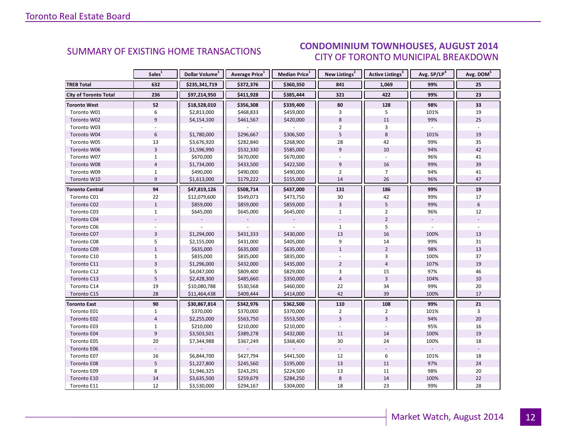#### ALIGUST 2014 CITY OF TORONTO MUNICIPAL BREAKDOWN SUMMARY OF EXISTING HOME TRANSACTIONS **CONDOMINIUM TOWNHOUSES, AUGUST 2014**

<span id="page-11-0"></span>

|                              | Sales <sup>1</sup> | Dollar Volume <sup>1</sup> | Average Price <sup>1</sup> | Median Price <sup>1</sup> | New Listings <sup>2</sup> | <b>Active Listings<sup>3</sup></b> | Avg. SP/LP <sup>4</sup> | Avg. DOM <sup>5</sup> |
|------------------------------|--------------------|----------------------------|----------------------------|---------------------------|---------------------------|------------------------------------|-------------------------|-----------------------|
| <b>TREB Total</b>            | 632                | \$235,341,719              | \$372,376                  | \$360,350                 | 841                       | 1,069                              | 99%                     | 25                    |
| <b>City of Toronto Total</b> | 236                | \$97,214,950               | \$411,928                  | \$385,444                 | 321                       | 422                                | 99%                     | 23                    |
| <b>Toronto West</b>          | 52                 | \$18,528,010               | \$356,308                  | \$339,400                 | 80                        | 128                                | 98%                     | 33                    |
| Toronto W01                  | 6                  | \$2,813,000                | \$468,833                  | \$459,000                 | 3                         | 5                                  | 101%                    | 19                    |
| Toronto W02                  | 9                  | \$4,154,100                | \$461,567                  | \$420,000                 | 8                         | 11                                 | 99%                     | 25                    |
| Toronto W03                  |                    |                            |                            |                           | $\overline{2}$            | 3                                  |                         |                       |
| Toronto W04                  | 6                  | \$1,780,000                | \$296,667                  | \$306,500                 | 5                         | 8                                  | 101%                    | 19                    |
| Toronto W05                  | 13                 | \$3,676,920                | \$282,840                  | \$268,900                 | 28                        | 42                                 | 99%                     | 35                    |
| Toronto W06                  | $\overline{3}$     | \$1,596,990                | \$532,330                  | \$585,000                 | $\overline{9}$            | 10                                 | 94%                     | 42                    |
| Toronto W07                  | $\mathbf{1}$       | \$670,000                  | \$670,000                  | \$670,000                 |                           | $\mathbf{r}$                       | 96%                     | 41                    |
| Toronto W08                  | $\overline{4}$     | \$1,734,000                | \$433,500                  | \$422,500                 | 9                         | 16                                 | 99%                     | 39                    |
| Toronto W09                  | $\mathbf{1}$       | \$490,000                  | \$490,000                  | \$490,000                 | $\overline{2}$            | $\overline{7}$                     | 94%                     | 41                    |
| Toronto W10                  | $\overline{9}$     | \$1,613,000                | \$179,222                  | \$155,000                 | 14                        | 26                                 | 96%                     | 47                    |
| <b>Toronto Central</b>       | 94                 | \$47,819,126               | \$508,714                  | \$437,000                 | 131                       | 186                                | 99%                     | 19                    |
| Toronto C01                  | 22                 | \$12,079,600               | \$549,073                  | \$473,750                 | 30                        | 42                                 | 99%                     | 17                    |
| Toronto C02                  | $\mathbf{1}$       | \$859,000                  | \$859,000                  | \$859,000                 | $\overline{3}$            | 5                                  | 99%                     | 6                     |
| Toronto C03                  | $\mathbf{1}$       | \$645,000                  | \$645,000                  | \$645,000                 | $\mathbf{1}$              | $\overline{2}$                     | 96%                     | 12                    |
| Toronto C04                  |                    |                            |                            |                           |                           | $\overline{2}$                     |                         |                       |
| Toronto C06                  |                    |                            |                            |                           | $\mathbf{1}$              | 5                                  |                         |                       |
| Toronto C07                  | $\overline{3}$     | \$1,294,000                | \$431,333                  | \$430,000                 | 13                        | 16                                 | 100%                    | 13                    |
| Toronto C08                  | 5                  | \$2,155,000                | \$431,000                  | \$405,000                 | 9                         | 14                                 | 99%                     | 31                    |
| Toronto C09                  | $\mathbf{1}$       | \$635,000                  | \$635,000                  | \$635,000                 | $\mathbf{1}$              | $\overline{2}$                     | 98%                     | 13                    |
| Toronto C10                  | $\mathbf 1$        | \$835,000                  | \$835,000                  | \$835,000                 |                           | 3                                  | 100%                    | 37                    |
| Toronto C11                  | $\overline{3}$     | \$1,296,000                | \$432,000                  | \$435,000                 | $\overline{2}$            | $\overline{4}$                     | 107%                    | 19                    |
| Toronto C12                  | 5                  | \$4,047,000                | \$809,400                  | \$829,000                 | 3                         | 15                                 | 97%                     | 46                    |
| Toronto C13                  | $\overline{5}$     | \$2,428,300                | \$485,660                  | \$350,000                 | $\overline{4}$            | $\overline{3}$                     | 104%                    | 10                    |
| Toronto C14                  | 19                 | \$10,080,788               | \$530,568                  | \$460,000                 | 22                        | 34                                 | 99%                     | 20                    |
| Toronto C15                  | 28                 | \$11,464,438               | \$409,444                  | \$414,000                 | 42                        | 39                                 | 100%                    | 17                    |
| <b>Toronto East</b>          | 90                 | \$30,867,814               | \$342,976                  | \$362,500                 | 110                       | 108                                | 99%                     | 21                    |
| Toronto E01                  | $\mathbf{1}$       | \$370,000                  | \$370,000                  | \$370,000                 | $\overline{2}$            | $\overline{2}$                     | 101%                    | 3                     |
| Toronto E02                  | $\overline{4}$     | \$2,255,000                | \$563,750                  | \$553,500                 | $\overline{3}$            | $\overline{3}$                     | 94%                     | $20\,$                |
| Toronto E03                  | 1                  | \$210,000                  | \$210,000                  | \$210,000                 |                           |                                    | 95%                     | 16                    |
| Toronto E04                  | $\overline{9}$     | \$3,503,501                | \$389,278                  | \$432,000                 | 11                        | 14                                 | 100%                    | 19                    |
| Toronto E05                  | 20                 | \$7,344,988                | \$367,249                  | \$368,400                 | 30                        | 24                                 | 100%                    | 18                    |
| Toronto E06                  |                    |                            |                            |                           |                           |                                    |                         |                       |
| Toronto E07                  | 16                 | \$6,844,700                | \$427,794                  | \$441,500                 | 12                        | 6                                  | 101%                    | 18                    |
| Toronto E08                  | 5                  | \$1,227,800                | \$245,560                  | \$195,000                 | 13                        | 11                                 | 97%                     | 24                    |
| Toronto E09                  | 8                  | \$1,946,325                | \$243,291                  | \$224,500                 | 13                        | 11                                 | 98%                     | 20                    |
| Toronto E10                  | 14                 | \$3,635,500                | \$259,679                  | \$284,250                 | $\,8\,$                   | 14                                 | 100%                    | 22                    |
| Toronto E11                  | 12                 | \$3,530,000                | \$294,167                  | \$304,000                 | 18                        | 23                                 | 99%                     | 28                    |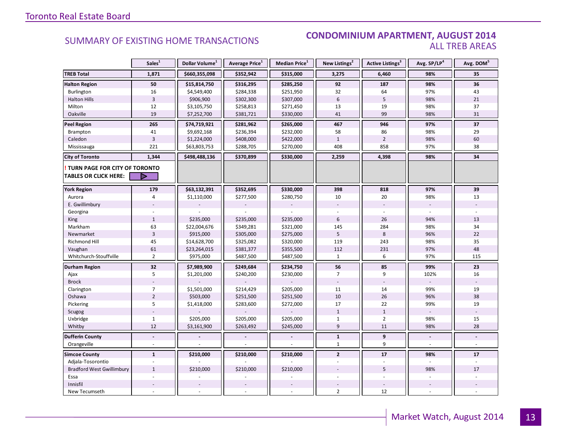#### **Industrial Leasing SUMMARY OF EXISTING HOME TRANSACTIONS CONDOMINIUM APARTMENT, AUGUST 2014** ALL TREB AREAS

|                                                               | Sales <sup>1</sup> | Dollar Volume <sup>1</sup> | <b>Average Price</b> <sup>1</sup> | Median Price <sup>1</sup> | New Listings <sup>2</sup> | <b>Active Listings</b> <sup>3</sup> | Avg. SP/LP <sup>4</sup> | Avg. DOM <sup>5</sup> |
|---------------------------------------------------------------|--------------------|----------------------------|-----------------------------------|---------------------------|---------------------------|-------------------------------------|-------------------------|-----------------------|
| <b>TREB Total</b>                                             | 1,871              | \$660,355,098              | \$352,942                         | \$315,000                 | 3,275                     | 6,460                               | 98%                     | 35                    |
| <b>Halton Region</b>                                          | 50                 | \$15,814,750               | \$316,295                         | \$285,250                 | 92                        | 187                                 | 98%                     | 36                    |
| Burlington                                                    | 16                 | \$4,549,400                | \$284,338                         | \$251,950                 | 32                        | 64                                  | 97%                     | 43                    |
| <b>Halton Hills</b>                                           | $\overline{3}$     | \$906,900                  | \$302,300                         | \$307,000                 | $6\phantom{a}$            | 5                                   | 98%                     | 21                    |
| Milton                                                        | 12                 | \$3,105,750                | \$258,813                         | \$271,450                 | 13                        | 19                                  | 98%                     | 37                    |
| Oakville                                                      | 19                 | \$7,252,700                | \$381,721                         | \$330,000                 | 41                        | 99                                  | 98%                     | 31                    |
| <b>Peel Region</b>                                            | 265                | \$74,719,921               | \$281,962                         | \$265,000                 | 467                       | 946                                 | 97%                     | 37                    |
| Brampton                                                      | 41                 | \$9,692,168                | \$236,394                         | \$232,000                 | 58                        | 86                                  | 98%                     | 29                    |
| Caledon                                                       | $\overline{3}$     | \$1,224,000                | \$408,000                         | \$422,000                 | $\mathbf{1}$              | $\overline{2}$                      | 98%                     | 60                    |
| Mississauga                                                   | 221                | \$63,803,753               | \$288,705                         | \$270,000                 | 408                       | 858                                 | 97%                     | 38                    |
| <b>City of Toronto</b>                                        | 1,344              | \$498,488,136              | \$370,899                         | \$330,000                 | 2,259                     | 4,398                               | 98%                     | 34                    |
| TURN PAGE FOR CITY OF TORONTO<br><b>TABLES OR CLICK HERE:</b> | Þ                  |                            |                                   |                           |                           |                                     |                         |                       |
| <b>York Region</b>                                            | 179                | \$63,132,391               | \$352,695                         | \$330,000                 | 398                       | 818                                 | 97%                     | 39                    |
| Aurora                                                        | 4                  | \$1,110,000                | \$277,500                         | \$280,750                 | 10                        | 20                                  | 98%                     | 13                    |
| E. Gwillimbury                                                |                    |                            |                                   |                           |                           |                                     |                         |                       |
| Georgina                                                      |                    |                            |                                   |                           |                           |                                     |                         |                       |
| King                                                          | $1\,$              | \$235,000                  | \$235,000                         | \$235,000                 | $6\,$                     | 26                                  | 94%                     | 13                    |
| Markham                                                       | 63                 | \$22,004,676               | \$349,281                         | \$321,000                 | 145                       | 284                                 | 98%                     | 34                    |
| Newmarket                                                     | $\mathsf 3$        | \$915,000                  | \$305,000                         | \$275,000                 | 5                         | 8                                   | 96%                     | 22                    |
| Richmond Hill                                                 | 45                 | \$14,628,700               | \$325,082                         | \$320,000                 | 119                       | 243                                 | 98%                     | 35                    |
| Vaughan                                                       | 61                 | \$23,264,015               | \$381,377                         | \$355,500                 | 112                       | 231                                 | 97%                     | 48                    |
| Whitchurch-Stouffville                                        | $\overline{2}$     | \$975,000                  | \$487,500                         | \$487,500                 | $\mathbf{1}$              | 6                                   | 97%                     | 115                   |
| Durham Region                                                 | 32                 | \$7,989,900                | \$249,684                         | \$234,750                 | 56                        | 85                                  | 99%                     | 23                    |
| Ajax                                                          | 5                  | \$1,201,000                | \$240,200                         | \$230,000                 | $\overline{7}$            | 9                                   | 102%                    | 16                    |
| <b>Brock</b>                                                  |                    |                            |                                   |                           |                           |                                     |                         |                       |
| Clarington                                                    | $\overline{7}$     | \$1,501,000                | \$214,429                         | \$205,000                 | 11                        | 14                                  | 99%                     | 19                    |
| Oshawa                                                        | $\overline{2}$     | \$503,000                  | \$251,500                         | \$251,500                 | 10                        | 26                                  | 96%                     | 38                    |
| Pickering                                                     | 5                  | \$1,418,000                | \$283,600                         | \$272,000                 | 17                        | 22                                  | 99%                     | 19                    |
| Scugog                                                        |                    |                            |                                   |                           | $1\,$                     | $1\,$                               | $\overline{a}$          |                       |
| Uxbridge                                                      | $\mathbf{1}$       | \$205,000                  | \$205,000                         | \$205,000                 | $\mathbf{1}$              | $\overline{2}$                      | 98%                     | 15                    |
| Whitby                                                        | 12                 | \$3,161,900                | \$263,492                         | \$245,000                 | 9                         | 11                                  | 98%                     | 28                    |
| <b>Dufferin County</b>                                        |                    |                            |                                   |                           | $\mathbf{1}$              | $\overline{9}$                      |                         |                       |
| Orangeville                                                   | ÷.                 |                            |                                   |                           | 1                         | 9                                   |                         |                       |
| <b>Simcoe County</b>                                          | $\mathbf{1}$       | \$210,000                  | \$210,000                         | \$210,000                 | $\overline{2}$            | 17                                  | 98%                     | 17                    |
| Adjala-Tosorontio                                             |                    |                            |                                   |                           |                           |                                     |                         |                       |
| <b>Bradford West Gwillimbury</b>                              | $\mathbf{1}$       | \$210,000                  | \$210,000                         | \$210,000                 |                           | 5                                   | 98%                     | 17                    |
| Essa                                                          |                    |                            |                                   |                           |                           |                                     |                         |                       |
| Innisfil                                                      |                    |                            |                                   |                           |                           |                                     |                         |                       |
| New Tecumseth                                                 | $\overline{a}$     |                            |                                   |                           | $\overline{2}$            | 12                                  |                         |                       |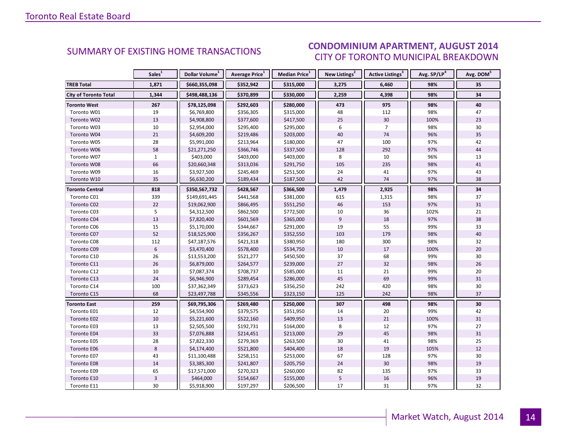### CONDOMINIUM APARTMENT, AUGUST 2014 CITY OF TORONTO MUNICIPAL BREAKDOWN

<span id="page-13-0"></span>

|                              | Sales <sup>1</sup> | Dollar Volume <sup>1</sup> | Average Price <sup>1</sup> | Median Price <sup>1</sup> | New Listings <sup>2</sup> | Active Listings <sup>3</sup> | Avg. SP/LP <sup>4</sup> | Avg. DOM <sup>5</sup> |
|------------------------------|--------------------|----------------------------|----------------------------|---------------------------|---------------------------|------------------------------|-------------------------|-----------------------|
| <b>TREB Total</b>            | 1,871              | \$660,355,098              | \$352,942                  | \$315,000                 | 3,275                     | 6,460                        | 98%                     | 35                    |
| <b>City of Toronto Total</b> | 1,344              | \$498,488,136              | \$370,899                  | \$330,000                 | 2,259                     | 4,398                        | 98%                     | 34                    |
| <b>Toronto West</b>          | 267                | \$78,125,098               | \$292,603                  | \$280,000                 | 473                       | 975                          | 98%                     | 40                    |
| Toronto W01                  | 19                 | \$6,769,800                | \$356,305                  | \$315,000                 | 48                        | 112                          | 98%                     | 47                    |
| Toronto W02                  | 13                 | \$4,908,800                | \$377,600                  | \$417,500                 | 25                        | 30                           | 100%                    | 23                    |
| Toronto W03                  | 10                 | \$2,954,000                | \$295,400                  | \$295,000                 | 6                         | $\overline{7}$               | 98%                     | 30                    |
| Toronto W04                  | $21\,$             | \$4,609,200                | \$219,486                  | \$203,000                 | 40                        | 74                           | 96%                     | 35                    |
| Toronto W05                  | 28                 | \$5,991,000                | \$213,964                  | \$180,000                 | 47                        | 100                          | 97%                     | 42                    |
| Toronto W06                  | 58                 | \$21,271,250               | \$366,746                  | \$337,500                 | 128                       | 292                          | 97%                     | 44                    |
| Toronto W07                  | $\mathbf{1}$       | \$403,000                  | \$403,000                  | \$403,000                 | 8                         | 10                           | 96%                     | 13                    |
| Toronto W08                  | 66                 | \$20,660,348               | \$313,036                  | \$291,750                 | 105                       | 235                          | 98%                     | 41                    |
| Toronto W09                  | 16                 | \$3,927,500                | \$245,469                  | \$251,500                 | 24                        | 41                           | 97%                     | 43                    |
| Toronto W10                  | 35                 | \$6,630,200                | \$189,434                  | \$187,500                 | 42                        | 74                           | 97%                     | 38                    |
| <b>Toronto Central</b>       | 818                | \$350,567,732              | \$428,567                  | \$366,500                 | 1,479                     | 2,925                        | 98%                     | 34                    |
| Toronto C01                  | 339                | \$149,691,445              | \$441,568                  | \$381,000                 | 615                       | 1,315                        | 98%                     | 37                    |
| Toronto C02                  | 22                 | \$19,062,900               | \$866,495                  | \$551,250                 | 46                        | 153                          | 97%                     | 31                    |
| Toronto C03                  | 5                  | \$4,312,500                | \$862,500                  | \$772,500                 | 10                        | 36                           | 102%                    | 21                    |
| Toronto C04                  | 13                 | \$7,820,400                | \$601,569                  | \$365,000                 | 9                         | 18                           | 97%                     | 38                    |
| Toronto C06                  | 15                 | \$5,170,000                | \$344,667                  | \$291,000                 | 19                        | 55                           | 99%                     | 33                    |
| Toronto C07                  | 52                 | \$18,525,900               | \$356,267                  | \$352,550                 | 103                       | 179                          | 98%                     | 40                    |
| Toronto C08                  | 112                | \$47,187,576               | \$421,318                  | \$380,950                 | 180                       | 300                          | 98%                     | 32                    |
| Toronto C09                  | 6                  | \$3,470,400                | \$578,400                  | \$534,750                 | 10                        | 17                           | 100%                    | 20                    |
| Toronto C10                  | 26                 | \$13,553,200               | \$521,277                  | \$450,500                 | 37                        | 68                           | 99%                     | 30                    |
| Toronto C11                  | 26                 | \$6,879,000                | \$264,577                  | \$239,000                 | 27                        | 32                           | 98%                     | 26                    |
| Toronto C12                  | $10\,$             | \$7,087,374                | \$708,737                  | \$585,000                 | 11                        | 21                           | 99%                     | 20                    |
| Toronto C13                  | 24                 | \$6,946,900                | \$289,454                  | \$286,000                 | 45                        | 69                           | 99%                     | 31                    |
| Toronto C14                  | 100                | \$37,362,349               | \$373,623                  | \$356,250                 | 242                       | 420                          | 98%                     | 30                    |
| Toronto C15                  | 68                 | \$23,497,788               | \$345,556                  | \$323,150                 | 125                       | 242                          | 98%                     | 37                    |
| Toronto East                 | 259                | \$69,795,306               | \$269,480                  | \$250,000                 | 307                       | 498                          | 98%                     | $30\,$                |
| Toronto E01                  | 12                 | \$4,554,900                | \$379,575                  | \$351,950                 | 14                        | 20                           | 99%                     | 42                    |
| Toronto E02                  | $10\,$             | \$5,221,600                | \$522,160                  | \$409,950                 | 13                        | 21                           | 100%                    | 31                    |
| Toronto E03                  | 13                 | \$2,505,500                | \$192,731                  | \$164,000                 | 8                         | 12                           | 97%                     | 27                    |
| Toronto E04                  | 33                 | \$7,076,888                | \$214,451                  | \$213,000                 | 29                        | 45                           | 98%                     | 31                    |
| Toronto E05                  | 28                 | \$7,822,330                | \$279,369                  | \$263,500                 | 30                        | 41                           | 98%                     | 25                    |
| Toronto E06                  | $\,8\,$            | \$4,174,400                | \$521,800                  | \$404,400                 | 18                        | 19                           | 105%                    | 12                    |
| Toronto E07                  | 43                 | \$11,100,488               | \$258,151                  | \$253,000                 | 67                        | 128                          | 97%                     | 30                    |
| Toronto E08                  | $14\,$             | \$3,385,300                | \$241,807                  | \$205,750                 | 24                        | 30                           | 98%                     | 19                    |
| Toronto E09                  | 65                 | \$17,571,000               | \$270,323                  | \$260,000                 | 82                        | 135                          | 97%                     | 33                    |
| Toronto E10                  | $\overline{3}$     | \$464,000                  | \$154,667                  | \$155,000                 | $\sqrt{5}$                | 16                           | 96%                     | 19                    |
| Toronto E11                  | 30                 | \$5,918,900                | \$197,297                  | \$206,500                 | 17                        | 31                           | 97%                     | 32                    |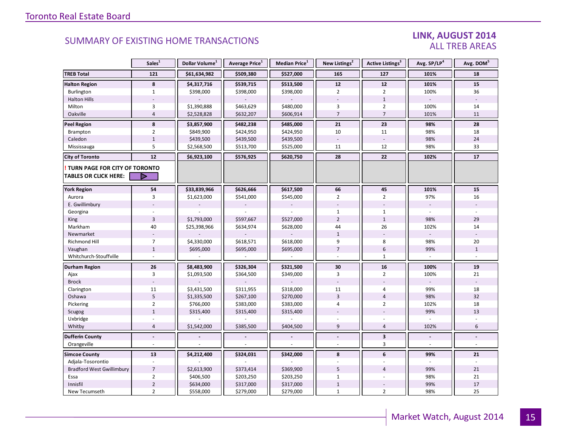#### LINK, AUGUST 2014 ALL TREB AREAS

|                                                        | Sales <sup>1</sup> | Dollar Volume <sup>1</sup> | Average Price <sup>1</sup> | <b>Median Price</b> <sup>1</sup> | New Listings <sup>2</sup> | Active Listings <sup>3</sup> | Avg. SP/LP4    | Avg. DOM <sup>5</sup> |
|--------------------------------------------------------|--------------------|----------------------------|----------------------------|----------------------------------|---------------------------|------------------------------|----------------|-----------------------|
| <b>TREB Total</b>                                      | 121                | \$61,634,982               | \$509,380                  | \$527,000                        | 165                       | 127                          | 101%           | 18                    |
| <b>Halton Region</b>                                   | 8                  | \$4,317,716                | \$539,715                  | \$513,500                        | 12                        | 12                           | 101%           | ${\bf 15}$            |
| Burlington                                             | $\mathbf{1}$       | \$398,000                  | \$398,000                  | \$398,000                        | $\overline{2}$            | $\overline{2}$               | 100%           | 36                    |
| <b>Halton Hills</b>                                    |                    |                            |                            |                                  |                           | $1\,$                        |                |                       |
| Milton                                                 | $\overline{3}$     | \$1,390,888                | \$463,629                  | \$480,000                        | 3                         | $\overline{2}$               | 100%           | 14                    |
| Oakville                                               | $\overline{4}$     | \$2,528,828                | \$632,207                  | \$606,914                        | $\overline{7}$            | $\overline{7}$               | 101%           | 11                    |
| <b>Peel Region</b>                                     | 8                  | \$3,857,900                | \$482,238                  | \$485,000                        | 21                        | 23                           | 98%            | 28                    |
| Brampton                                               | $\overline{2}$     | \$849,900                  | \$424,950                  | \$424,950                        | 10                        | 11                           | 98%            | 18                    |
| Caledon                                                | $\mathbf{1}$       | \$439,500                  | \$439,500                  | \$439,500                        |                           |                              | 98%            | 24                    |
| Mississauga                                            | 5                  | \$2,568,500                | \$513,700                  | \$525,000                        | 11                        | 12                           | 98%            | 33                    |
| <b>City of Toronto</b>                                 | 12                 | \$6,923,100                | \$576,925                  | \$620,750                        | 28                        | 22                           | 102%           | 17                    |
| TURN PAGE FOR CITY OF TORONTO<br>TABLES OR CLICK HERE: | D                  |                            |                            |                                  |                           |                              |                |                       |
| <b>York Region</b>                                     | 54                 | \$33,839,966               | \$626,666                  | \$617,500                        | 66                        | 45                           | 101%           | ${\bf 15}$            |
| Aurora                                                 | 3                  | \$1,623,000                | \$541,000                  | \$545,000                        | $\overline{2}$            | $\overline{2}$               | 97%            | 16                    |
| E. Gwillimbury                                         |                    |                            |                            |                                  |                           |                              |                |                       |
| Georgina                                               |                    |                            |                            |                                  | $\mathbf{1}$              | $\mathbf{1}$                 |                |                       |
| King                                                   | $\overline{3}$     | \$1,793,000                | \$597,667                  | \$527,000                        | $\overline{2}$            | $1\,$                        | 98%            | 29                    |
| Markham                                                | 40                 | \$25,398,966               | \$634,974                  | \$628,000                        | 44                        | 26                           | 102%           | 14                    |
| Newmarket                                              |                    |                            |                            |                                  | $1\,$                     |                              |                |                       |
| <b>Richmond Hill</b>                                   | $\overline{7}$     | \$4,330,000                | \$618,571                  | \$618,000                        | 9                         | 8                            | 98%            | 20                    |
| Vaughan                                                | $\mathbf{1}$       | \$695,000                  | \$695,000                  | \$695,000                        | $\overline{7}$            | $6\phantom{1}$               | 99%            | $\mathbf{1}$          |
| Whitchurch-Stouffville                                 |                    |                            |                            |                                  |                           | $\mathbf{1}$                 |                |                       |
| Durham Region                                          | 26                 | \$8,483,900                | \$326,304                  | \$321,500                        | 30                        | 16                           | 100%           | 19                    |
| Ajax                                                   | $\mathbf{3}$       | \$1,093,500                | \$364,500                  | \$349,000                        | 3                         | $\overline{2}$               | 100%           | 21                    |
| <b>Brock</b>                                           |                    |                            |                            |                                  |                           |                              |                |                       |
| Clarington                                             | 11                 | \$3,431,500                | \$311,955                  | \$318,000                        | 11                        | $\overline{4}$               | 99%            | 18                    |
| Oshawa                                                 | $5\phantom{.0}$    | \$1,335,500                | \$267,100                  | \$270,000                        | $\overline{3}$            | $\overline{4}$               | 98%            | 32                    |
| Pickering                                              | $\overline{2}$     | \$766,000                  | \$383,000                  | \$383,000                        | 4                         | $\overline{2}$               | 102%           | 18                    |
| Scugog                                                 | $\mathbf{1}$       | \$315,400                  | \$315,400                  | \$315,400                        |                           |                              | 99%            | 13                    |
| Uxbridge                                               |                    |                            |                            |                                  |                           |                              |                |                       |
| Whitby                                                 | $\overline{4}$     | \$1,542,000                | \$385,500                  | \$404,500                        | $\overline{9}$            | $\overline{4}$               | 102%           | 6                     |
| <b>Dufferin County</b>                                 | $\overline{a}$     |                            |                            |                                  | $\overline{a}$            | $\overline{\mathbf{3}}$      | $\overline{a}$ | L.                    |
| Orangeville                                            | $\sim$             |                            |                            |                                  | $\overline{a}$            | 3                            | $\mathbb{L}$   | $\omega$              |
| <b>Simcoe County</b>                                   | 13                 | \$4,212,400                | \$324,031                  | \$342,000                        | 8                         | 6                            | 99%            | 21                    |
| Adjala-Tosorontio                                      |                    |                            |                            |                                  |                           |                              |                |                       |
| <b>Bradford West Gwillimbury</b>                       | $\overline{7}$     | \$2,613,900                | \$373,414                  | \$369,900                        | 5                         | $\overline{4}$               | 99%            | 21                    |
| Essa                                                   | $\overline{2}$     | \$406,500                  | \$203,250                  | \$203,250                        | $\mathbf{1}$              |                              | 98%            | 21                    |
| Innisfil                                               | $\overline{2}$     | \$634,000                  | \$317,000                  | \$317,000                        | $\,1\,$                   |                              | 99%            | 17                    |
| New Tecumseth                                          | $\overline{2}$     | \$558,000                  | \$279,000                  | \$279,000                        | $\mathbf{1}$              | $\overline{2}$               | 98%            | 25                    |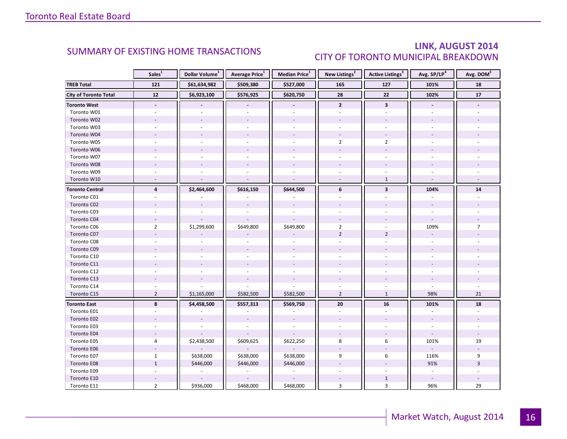### LINK, AUGUST 2014 CITY OF TORONTO MUNICIPAL BREAKDOWN

<span id="page-15-0"></span>

|                              | Sales <sup>1</sup>       | Dollar Volume <sup>1</sup> | Average Price <sup>1</sup> | Median Price <sup>1</sup> | New Listings <sup>2</sup> | Active Listings <sup>3</sup> | Avg. SP/LP <sup>4</sup>  | Avg. DOM <sup>5</sup> |
|------------------------------|--------------------------|----------------------------|----------------------------|---------------------------|---------------------------|------------------------------|--------------------------|-----------------------|
| <b>TREB Total</b>            | 121                      | \$61,634,982               | \$509,380                  | \$527,000                 | 165                       | 127                          | 101%                     | 18                    |
| <b>City of Toronto Total</b> | 12                       | \$6,923,100                | \$576,925                  | \$620,750                 | 28                        | 22                           | 102%                     | 17                    |
| <b>Toronto West</b>          | $\overline{\phantom{a}}$ |                            | $\overline{\phantom{a}}$   | $\overline{\phantom{a}}$  | $\overline{2}$            | $\mathbf{3}$                 |                          |                       |
| Toronto W01                  |                          |                            |                            |                           | $\overline{a}$            |                              |                          |                       |
| Toronto W02                  |                          |                            |                            |                           |                           |                              |                          |                       |
| Toronto W03                  |                          |                            |                            |                           |                           |                              |                          |                       |
| Toronto W04                  |                          |                            |                            |                           |                           |                              |                          |                       |
| Toronto W05                  |                          |                            |                            |                           | $\overline{2}$            | $\overline{2}$               |                          |                       |
| Toronto W06                  |                          |                            |                            |                           |                           |                              |                          |                       |
| Toronto W07                  |                          |                            |                            |                           |                           |                              |                          |                       |
| Toronto W08                  |                          |                            |                            |                           |                           |                              |                          |                       |
| Toronto W09                  |                          |                            |                            |                           |                           |                              |                          |                       |
| Toronto W10                  |                          |                            |                            |                           |                           | $\mathbf{1}$                 |                          |                       |
| <b>Toronto Central</b>       | $\overline{\mathbf{4}}$  | \$2,464,600                | \$616,150                  | \$644,500                 | 6                         | $\overline{\mathbf{3}}$      | 104%                     | ${\bf 14}$            |
| Toronto C01                  |                          |                            |                            |                           |                           |                              |                          |                       |
| Toronto C02                  |                          |                            |                            |                           |                           |                              |                          |                       |
| Toronto C03                  |                          |                            |                            |                           |                           |                              |                          |                       |
| Toronto C04                  |                          |                            |                            |                           |                           |                              |                          |                       |
| Toronto C06                  | $\overline{2}$           | \$1,299,600                | \$649,800                  | \$649,800                 | $\overline{2}$            |                              | 109%                     | $\overline{7}$        |
| Toronto C07                  |                          |                            |                            |                           | $\overline{2}$            | $\overline{2}$               |                          |                       |
| Toronto C08                  |                          |                            |                            |                           |                           |                              |                          |                       |
| Toronto C09                  |                          |                            |                            |                           |                           |                              |                          |                       |
| Toronto C10                  |                          |                            |                            |                           |                           |                              |                          |                       |
| Toronto C11                  |                          |                            |                            |                           |                           |                              |                          |                       |
| Toronto C12                  |                          |                            |                            |                           |                           |                              |                          |                       |
| Toronto C13                  |                          |                            |                            |                           |                           |                              |                          |                       |
| Toronto C14                  |                          |                            |                            |                           |                           |                              |                          |                       |
| Toronto C15                  | $\overline{2}$           | \$1,165,000                | \$582,500                  | \$582,500                 | $\overline{2}$            | $\mathbf{1}$                 | 98%                      | 21                    |
| <b>Toronto East</b>          | 8                        | \$4,458,500                | \$557,313                  | \$569,750                 | 20                        | 16                           | 101%                     | 18                    |
| Toronto E01                  |                          |                            |                            |                           | ä,                        | ÷.                           | $\overline{\phantom{a}}$ |                       |
| Toronto E02                  |                          |                            |                            |                           |                           |                              |                          |                       |
| Toronto E03                  |                          |                            |                            |                           |                           |                              |                          |                       |
| Toronto E04                  |                          |                            |                            |                           |                           |                              | $\overline{\phantom{a}}$ |                       |
| Toronto E05                  | 4                        | \$2,438,500                | \$609,625                  | \$622,250                 | 8                         | 6                            | 101%                     | 19                    |
| Toronto E06                  |                          |                            |                            |                           |                           |                              |                          |                       |
| Toronto E07                  | $\mathbf{1}$             | \$638,000                  | \$638,000                  | \$638,000                 | 9                         | 6                            | 116%                     | 9                     |
| Toronto E08                  | $\mathbf{1}$             | \$446,000                  | \$446,000                  | \$446,000                 |                           |                              | 91%                      | 3                     |
| Toronto E09                  |                          |                            | $\overline{\phantom{a}}$   |                           |                           |                              | $\bar{\phantom{a}}$      |                       |
| Toronto E10                  |                          |                            |                            |                           |                           | $\mathbf{1}$                 |                          |                       |
| Toronto E11                  | $\overline{2}$           | \$936,000                  | \$468,000                  | \$468,000                 | 3                         | $\overline{3}$               | 96%                      | 29                    |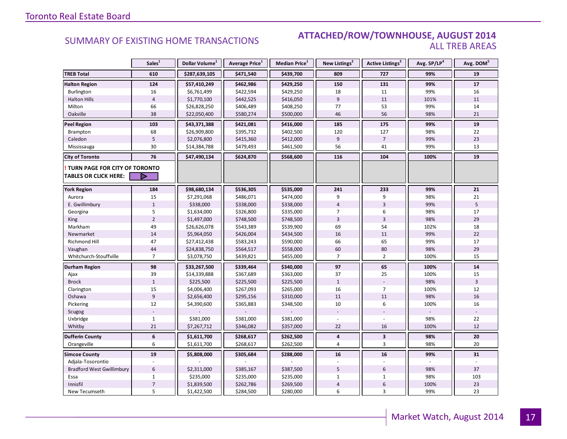#### **Industrial Leasing SUMMARY OF EXISTING HOME TRANSACTIONS ATTACHED/ROW/TOWNHOUSE, AUGUST 2014** ALL TREB AREAS

|                                  | Sales <sup>1</sup> | Dollar Volume <sup>1</sup> | Average Price <sup>1</sup> | Median Price <sup>1</sup> | New Listings <sup>2</sup> | Active Listings <sup>3</sup> | Avg. SP/LP4 | Avg. DOM <sup>5</sup> |
|----------------------------------|--------------------|----------------------------|----------------------------|---------------------------|---------------------------|------------------------------|-------------|-----------------------|
| <b>TREB Total</b>                | 610                | \$287,639,105              | \$471,540                  | \$439,700                 | 809                       | 727                          | 99%         | 19                    |
| <b>Halton Region</b>             | 124                | \$57,410,249               | \$462,986                  | \$429,250                 | 150                       | 131                          | 99%         | 17                    |
| Burlington                       | 16                 | \$6,761,499                | \$422,594                  | \$429,250                 | 18                        | 11                           | 99%         | 16                    |
| <b>Halton Hills</b>              | $\overline{4}$     | \$1,770,100                | \$442,525                  | \$416,050                 | 9                         | 11                           | 101%        | 11                    |
| Milton                           | 66                 | \$26,828,250               | \$406,489                  | \$408,250                 | 77                        | 53                           | 99%         | 14                    |
| Oakville                         | 38                 | \$22,050,400               | \$580,274                  | \$500,000                 | 46                        | 56                           | 98%         | 21                    |
| Peel Region                      | 103                | \$43,371,388               | \$421,081                  | \$416,000                 | 185                       | 175                          | 99%         | 19                    |
| Brampton                         | 68                 | \$26,909,800               | \$395,732                  | \$402,500                 | 120                       | 127                          | 98%         | 22                    |
| Caledon                          | 5                  | \$2,076,800                | \$415,360                  | \$412,000                 | 9                         | $\overline{7}$               | 99%         | 23                    |
| Mississauga                      | 30                 | \$14,384,788               | \$479,493                  | \$461,500                 | 56                        | 41                           | 99%         | 13                    |
| <b>City of Toronto</b>           | 76                 | \$47,490,134               | \$624,870                  | \$568,600                 | 116                       | 104                          | 100%        | 19                    |
| TURN PAGE FOR CITY OF TORONTO    |                    |                            |                            |                           |                           |                              |             |                       |
| <b>TABLES OR CLICK HERE:</b>     | D                  |                            |                            |                           |                           |                              |             |                       |
| <b>York Region</b>               | 184                | \$98,680,134               | \$536,305                  | \$535,000                 | 241                       | 233                          | 99%         | 21                    |
| Aurora                           | 15                 | \$7,291,068                | \$486,071                  | \$474,000                 | 9                         | 9                            | 98%         | 21                    |
| E. Gwillimbury                   | $\mathbf{1}$       | \$338,000                  | \$338,000                  | \$338,000                 | $\overline{4}$            | $\overline{3}$               | 99%         | 5                     |
| Georgina                         | 5                  | \$1,634,000                | \$326,800                  | \$335,000                 | 7                         | 6                            | 98%         | 17                    |
| King                             | $\overline{2}$     | \$1,497,000                | \$748,500                  | \$748,500                 | $\overline{3}$            | $\overline{3}$               | 98%         | 29                    |
| Markham                          | 49                 | \$26,626,078               | \$543,389                  | \$539,900                 | 69                        | 54                           | 102%        | 18                    |
| Newmarket                        | 14                 | \$5,964,050                | \$426,004                  | \$434,500                 | 16                        | 11                           | 99%         | 22                    |
| Richmond Hill                    | 47                 | \$27,412,438               | \$583,243                  | \$590,000                 | 66                        | 65                           | 99%         | 17                    |
| Vaughan                          | 44                 | \$24,838,750               | \$564,517                  | \$558,000                 | 60                        | 80                           | 98%         | 29                    |
| Whitchurch-Stouffville           | $\overline{7}$     | \$3,078,750                | \$439,821                  | \$455,000                 | $\overline{7}$            | $\overline{2}$               | 100%        | 15                    |
| Durham Region                    | 98                 | \$33,267,500               | \$339,464                  | \$340,000                 | 97                        | 65                           | 100%        | 14                    |
| Ajax                             | 39                 | \$14,339,888               | \$367,689                  | \$363,000                 | 37                        | 25                           | 100%        | 15                    |
| <b>Brock</b>                     | $\mathbf{1}$       | \$225,500                  | \$225,500                  | \$225,500                 | $\mathbf{1}$              |                              | 98%         | $\overline{3}$        |
| Clarington                       | 15                 | \$4,006,400                | \$267,093                  | \$265,000                 | 16                        | $\overline{7}$               | 100%        | 12                    |
| Oshawa                           | $\boldsymbol{9}$   | \$2,656,400                | \$295,156                  | \$310,000                 | 11                        | 11                           | 98%         | 16                    |
| Pickering                        | 12                 | \$4,390,600                | \$365,883                  | \$348,500                 | 10                        | 6                            | 100%        | 16                    |
| Scugog                           |                    |                            |                            |                           |                           |                              |             |                       |
| Uxbridge                         | $\mathbf 1$        | \$381,000                  | \$381,000                  | \$381,000                 |                           |                              | 98%         | 22                    |
| Whitby                           | 21                 | \$7,267,712                | \$346,082                  | \$357,000                 | 22                        | 16                           | 100%        | 12                    |
| <b>Dufferin County</b>           | 6                  | \$1,611,700                | \$268,617                  | \$262,500                 | $\overline{\mathbf{4}}$   | $\overline{\mathbf{3}}$      | 98%         | 20                    |
| Orangeville                      | 6                  | \$1,611,700                | \$268,617                  | \$262,500                 | 4                         | 3                            | 98%         | 20                    |
| <b>Simcoe County</b>             | 19                 | \$5,808,000                | \$305,684                  | \$288,000                 | 16                        | 16                           | 99%         | 31                    |
| Adjala-Tosorontio                |                    |                            |                            |                           |                           |                              |             |                       |
| <b>Bradford West Gwillimbury</b> | $6\,$              | \$2,311,000                | \$385,167                  | \$387,500                 | 5                         | $6\phantom{1}$               | 98%         | 37                    |
| Essa                             | $\mathbf{1}$       | \$235,000                  | \$235,000                  | \$235,000                 | $\mathbf 1$               | $\mathbf{1}$                 | 98%         | 103                   |
| Innisfil                         | $\overline{7}$     | \$1,839,500                | \$262,786                  | \$269,500                 | 4                         | 6                            | 100%        | $23\,$                |
| New Tecumseth                    | 5                  | \$1,422,500                | \$284,500                  | \$280,000                 | 6                         | 3                            | 99%         | 23                    |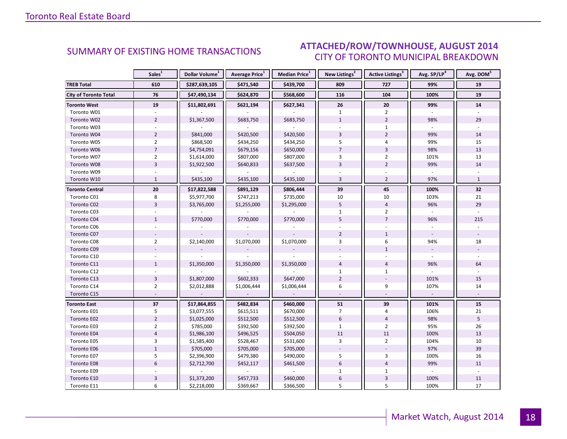#### ALIGUST 2014 CITY OF TORONTO MUNICIPAL BREAKDOWN SUMMARY OF EXISTING HOME TRANSACTIONS **ATTACHED/ROW/TOWNHOUSE, AUGUST 2014**

<span id="page-17-0"></span>

|                              | Sales <sup>1</sup> | Dollar Volume <sup>1</sup> | Average Price <sup>1</sup> | Median Price <sup>1</sup> | New Listings <sup>2</sup> | Active Listings <sup>3</sup> | Avg. SP/LP <sup>4</sup> | Avg. DOM <sup>5</sup> |
|------------------------------|--------------------|----------------------------|----------------------------|---------------------------|---------------------------|------------------------------|-------------------------|-----------------------|
| <b>TREB Total</b>            | 610                | \$287,639,105              | \$471,540                  | \$439,700                 | 809                       | 727                          | 99%                     | 19                    |
| <b>City of Toronto Total</b> | 76                 | \$47,490,134               | \$624,870                  | \$568,600                 | 116                       | 104                          | 100%                    | 19                    |
| <b>Toronto West</b>          | 19                 | \$11,802,691               | \$621,194                  | \$627,341                 | 26                        | 20                           | 99%                     | 14                    |
| Toronto W01                  |                    |                            |                            |                           | $\mathbf{1}$              | $\overline{2}$               |                         |                       |
| Toronto W02                  | $\overline{2}$     | \$1,367,500                | \$683,750                  | \$683,750                 | $\mathbf{1}$              | $\overline{2}$               | 98%                     | 29                    |
| Toronto W03                  |                    |                            |                            |                           |                           | $\mathbf{1}$                 |                         |                       |
| Toronto W04                  | $\overline{2}$     | \$841,000                  | \$420,500                  | \$420,500                 | 3                         | $\overline{2}$               | 99%                     | 14                    |
| Toronto W05                  | $\overline{2}$     | \$868,500                  | \$434,250                  | \$434,250                 | 5                         | $\overline{4}$               | 99%                     | 15                    |
| Toronto W06                  | $\overline{7}$     | \$4,754,091                | \$679,156                  | \$650,000                 | $\overline{7}$            | $\overline{3}$               | 98%                     | 13                    |
| Toronto W07                  | $\overline{2}$     | \$1,614,000                | \$807,000                  | \$807,000                 | 3                         | $\overline{2}$               | 101%                    | 13                    |
| Toronto W08                  | $\overline{3}$     | \$1,922,500                | \$640,833                  | \$637,500                 | $\overline{3}$            | $\overline{2}$               | 99%                     | 14                    |
| Toronto W09                  |                    |                            |                            |                           |                           |                              |                         |                       |
| Toronto W10                  | $\mathbf{1}$       | \$435,100                  | \$435,100                  | \$435,100                 | $\overline{3}$            | $\overline{2}$               | 97%                     | $\mathbf{1}$          |
| <b>Toronto Central</b>       | 20                 | \$17,822,588               | \$891,129                  | \$806,444                 | 39                        | 45                           | 100%                    | 32                    |
| Toronto C01                  | 8                  | \$5,977,700                | \$747,213                  | \$735,000                 | 10                        | 10                           | 103%                    | 21                    |
| Toronto C02                  | $\overline{3}$     | \$3,765,000                | \$1,255,000                | \$1,295,000               | 5                         | $\sqrt{4}$                   | 96%                     | 29                    |
| Toronto C03                  |                    |                            |                            |                           | $\mathbf{1}$              | $\overline{2}$               |                         |                       |
| Toronto C04                  | $\mathbf{1}$       | \$770,000                  | \$770,000                  | \$770,000                 | 5                         | $\overline{7}$               | 96%                     | 215                   |
| Toronto C06                  |                    |                            |                            |                           |                           |                              |                         |                       |
| Toronto C07                  |                    |                            |                            |                           | $\overline{2}$            | $\mathbf{1}$                 |                         |                       |
| Toronto C08                  | $\overline{2}$     | \$2,140,000                | \$1,070,000                | \$1,070,000               | 3                         | 6                            | 94%                     | 18                    |
| Toronto C09                  |                    |                            |                            |                           |                           | $\mathbf{1}$                 |                         |                       |
| Toronto C10                  |                    |                            |                            |                           |                           |                              | $\overline{a}$          |                       |
| Toronto C11                  | $\mathbf{1}$       | \$1,350,000                | \$1,350,000                | \$1,350,000               | $\overline{4}$            | $\overline{4}$               | 96%                     | 64                    |
| Toronto C12                  |                    |                            |                            |                           | $\mathbf{1}$              | $\mathbf{1}$                 |                         |                       |
| Toronto C13                  | $\overline{3}$     | \$1,807,000                | \$602,333                  | \$647,000                 | $\overline{2}$            |                              | 101%                    | 15                    |
| Toronto C14                  | $\overline{2}$     | \$2,012,888                | \$1,006,444                | \$1,006,444               | 6                         | 9                            | 107%                    | 14                    |
| Toronto C15                  |                    |                            |                            |                           |                           |                              | $\mathbb{Z}^+$          |                       |
| <b>Toronto East</b>          | 37                 | \$17,864,855               | \$482,834                  | \$460,000                 | 51                        | 39                           | 101%                    | 15                    |
| Toronto E01                  | 5                  | \$3,077,555                | \$615,511                  | \$670,000                 | $\overline{7}$            | $\overline{4}$               | 106%                    | 21                    |
| Toronto E02                  | $\overline{2}$     | \$1,025,000                | \$512,500                  | \$512,500                 | $6\phantom{1}$            | $\overline{4}$               | 98%                     | 5                     |
| Toronto E03                  | $\overline{2}$     | \$785,000                  | \$392,500                  | \$392,500                 | $\mathbf{1}$              | $\overline{2}$               | 95%                     | 26                    |
| Toronto E04                  | $\sqrt{4}$         | \$1,986,100                | \$496,525                  | \$504,050                 | 11                        | 11                           | 100%                    | 13                    |
| Toronto E05                  | 3                  | \$1,585,400                | \$528,467                  | \$531,600                 | 3                         | $\overline{2}$               | 104%                    | 10                    |
| Toronto E06                  | $\mathbf{1}$       | \$705,000                  | \$705,000                  | \$705,000                 |                           |                              | 97%                     | 39                    |
| Toronto E07                  | 5                  | \$2,396,900                | \$479,380                  | \$490,000                 | 5                         | 3                            | 100%                    | 16                    |
| Toronto E08                  | $6\,$              | \$2,712,700                | \$452,117                  | \$461,500                 | $6\,$                     | $\overline{4}$               | 99%                     | 11                    |
| Toronto E09                  |                    |                            |                            |                           | $\mathbf{1}$              | $\mathbf{1}$                 |                         |                       |
| Toronto E10                  | 3                  | \$1,373,200                | \$457,733                  | \$460,000                 | $\boldsymbol{6}$          | 3                            | 100%                    | 11                    |
| Toronto E11                  | 6                  | \$2,218,000                | \$369,667                  | \$366,500                 | 5                         | 5                            | 100%                    | 17                    |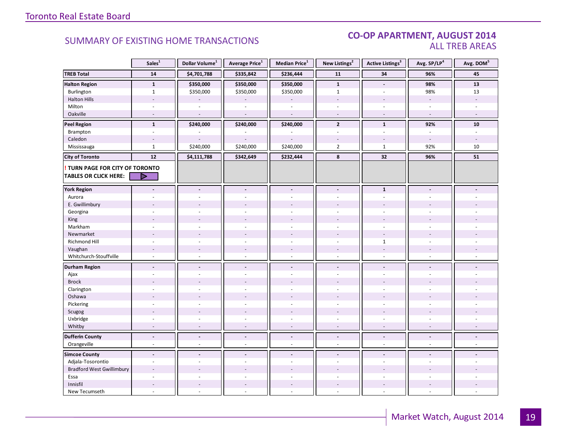#### CO-OP APARTMENT, AUGUST 2014 ALL TREB AREAS

|                                        | Sales <sup>1</sup>       | Dollar Volume <sup>1</sup> | Average Price <sup>1</sup> | Median Price <sup>1</sup> | New Listings <sup>2</sup> | Active Listings <sup>3</sup> | Avg. SP/LP <sup>4</sup>  | Avg. DOM <sup>5</sup>    |
|----------------------------------------|--------------------------|----------------------------|----------------------------|---------------------------|---------------------------|------------------------------|--------------------------|--------------------------|
| <b>TREB Total</b>                      | ${\bf 14}$               | \$4,701,788                | \$335,842                  | \$236,444                 | 11                        | 34                           | 96%                      | 45                       |
| <b>Halton Region</b>                   | $\mathbf{1}$             | \$350,000                  | \$350,000                  | \$350,000                 | $\mathbf{1}$              | $\blacksquare$               | 98%                      | ${\bf 13}$               |
| Burlington                             | $\mathbf{1}$             | \$350,000                  | \$350,000                  | \$350,000                 | $\mathbf{1}$              |                              | 98%                      | 13                       |
| <b>Halton Hills</b>                    | $\overline{a}$           |                            |                            |                           | $\overline{a}$            | $\overline{a}$               | $\overline{\phantom{a}}$ | $\overline{a}$           |
| Milton                                 | $\sim$                   |                            | ÷,                         | $\sim$                    | $\bar{a}$                 | $\sim$                       | $\sim$                   |                          |
| Oakville                               | $\sim$                   | $\sim$                     | $\sim$                     | $\sim$                    | $\sim$                    | $\sim$                       | $\sim$                   | $\overline{a}$           |
| <b>Peel Region</b>                     | $\mathbf{1}$             | \$240,000                  | \$240,000                  | \$240,000                 | $\overline{2}$            | $\mathbf{1}$                 | 92%                      | 10                       |
| Brampton                               | $\sim$                   |                            |                            |                           | $\overline{a}$            | ÷.                           | $\sim$                   | ÷.                       |
| Caledon                                |                          |                            |                            |                           |                           |                              |                          |                          |
| Mississauga                            | $\mathbf{1}$             | \$240,000                  | \$240,000                  | \$240,000                 | $\overline{2}$            | $\mathbf{1}$                 | 92%                      | 10                       |
| <b>City of Toronto</b>                 | 12                       | \$4,111,788                | \$342,649                  | \$232,444                 | 8                         | 32                           | 96%                      | 51                       |
| <b>! TURN PAGE FOR CITY OF TORONTO</b> |                          |                            |                            |                           |                           |                              |                          |                          |
| <b>TABLES OR CLICK HERE:</b>           |                          |                            |                            |                           |                           |                              |                          |                          |
| <b>York Region</b>                     | $\overline{a}$           | $\blacksquare$             | $\overline{a}$             | $\blacksquare$            | $\blacksquare$            | $\mathbf{1}$                 |                          |                          |
| Aurora                                 |                          |                            |                            |                           |                           | ä,                           |                          |                          |
| E. Gwillimbury                         |                          |                            |                            |                           |                           |                              |                          |                          |
| Georgina                               |                          |                            |                            |                           |                           |                              |                          |                          |
| King                                   |                          |                            |                            |                           |                           |                              |                          |                          |
| Markham                                | $\sim$                   | $\sim$                     | L.                         | $\overline{a}$            | $\bar{a}$                 | $\sim$                       | $\sim$                   |                          |
| Newmarket                              |                          |                            |                            |                           |                           |                              |                          |                          |
| Richmond Hill                          |                          |                            |                            |                           |                           | $\mathbf{1}$                 |                          |                          |
| Vaughan                                |                          |                            | $\overline{\phantom{a}}$   | $\overline{\phantom{a}}$  | $\qquad \qquad -$         | $\overline{\phantom{a}}$     |                          |                          |
| Whitchurch-Stouffville                 | $\sim$                   | $\overline{a}$             | $\sim$                     | $\sim$                    | $\sim$                    | $\sim$                       | $\sim$                   |                          |
| <b>Durham Region</b>                   | $\overline{\phantom{a}}$ | $\overline{\phantom{a}}$   | $\centerdot$               | $\overline{\phantom{a}}$  | $\overline{\phantom{a}}$  | $\blacksquare$               |                          |                          |
| Ajax                                   | $\overline{a}$           |                            | $\overline{a}$             | $\overline{a}$            | $\overline{a}$            | ÷.                           |                          |                          |
| <b>Brock</b>                           |                          |                            |                            |                           |                           |                              |                          |                          |
| Clarington                             | $\sim$                   |                            | ÷,                         | $\overline{a}$            | $\overline{a}$            | $\overline{a}$               |                          |                          |
| Oshawa                                 |                          |                            |                            |                           |                           |                              |                          |                          |
| Pickering                              | ÷.                       |                            |                            |                           | ÷                         | ÷                            |                          |                          |
| Scugog                                 |                          |                            | L,                         |                           |                           |                              |                          |                          |
| Uxbridge                               | $\sim$                   | $\sim$                     | ÷,                         | $\overline{\phantom{a}}$  | $\overline{\phantom{a}}$  | ÷,                           | $\sim$                   |                          |
| Whitby                                 | $\overline{\phantom{a}}$ | $\sim$                     | ÷,                         | $\omega$                  | $\overline{\phantom{a}}$  | $\overline{\phantom{a}}$     | $\sim$                   | $\overline{a}$           |
| <b>Dufferin County</b>                 | $\overline{\phantom{a}}$ | $\blacksquare$             | $\frac{1}{2}$              | $\overline{\phantom{a}}$  | $\overline{\phantom{a}}$  | $\blacksquare$               | $\overline{\phantom{a}}$ | $\overline{\phantom{a}}$ |
| Orangeville                            | $\overline{\phantom{a}}$ | $\sim$                     | $\overline{\phantom{a}}$   | $\omega$                  | $\overline{\phantom{a}}$  | $\overline{\phantom{a}}$     | $\sim$                   | ÷.                       |
| <b>Simcoe County</b>                   | $\overline{a}$           | $\blacksquare$             | $\blacksquare$             | $\blacksquare$            | $\blacksquare$            | $\blacksquare$               |                          |                          |
| Adjala-Tosorontio                      | $\sim$                   | ÷.                         | $\overline{a}$             | ÷.                        | ÷                         | ÷.                           | $\sim$                   |                          |
| <b>Bradford West Gwillimbury</b>       | $\overline{a}$           |                            |                            |                           |                           |                              |                          |                          |
| Essa                                   |                          |                            |                            |                           |                           |                              |                          |                          |
| Innisfil                               | $\sim$                   | $\sim$                     | $\overline{a}$             | $\sim$                    | $\overline{a}$            | $\overline{a}$               |                          |                          |
| New Tecumseth                          | $\overline{\phantom{a}}$ |                            | ÷,                         | ä,                        | $\bar{a}$                 | $\sim$                       |                          |                          |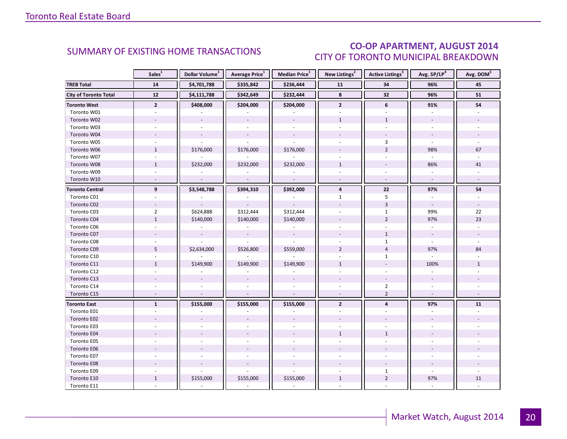### CO-OP APARTMENT, AUGUST 2014 CITY OF TORONTO MUNICIPAL BREAKDOWN

<span id="page-19-0"></span>

|                              | Sales <sup>1</sup>       | Dollar Volume <sup>1</sup> | Average Price <sup>1</sup> | Median Price <sup>1</sup> | New Listings <sup>2</sup> | Active Listings <sup>3</sup> | Avg. SP/LP <sup>4</sup>  | Avg. DOM <sup>5</sup> |
|------------------------------|--------------------------|----------------------------|----------------------------|---------------------------|---------------------------|------------------------------|--------------------------|-----------------------|
| <b>TREB Total</b>            | 14                       | \$4,701,788                | \$335,842                  | \$236,444                 | 11                        | 34                           | 96%                      | 45                    |
| <b>City of Toronto Total</b> | 12                       | \$4,111,788                | \$342,649                  | \$232,444                 | 8                         | 32                           | 96%                      | 51                    |
| <b>Toronto West</b>          | $\overline{2}$           | \$408,000                  | \$204,000                  | \$204,000                 | $\overline{2}$            | 6                            | 91%                      | 54                    |
| Toronto W01                  |                          |                            |                            |                           |                           |                              |                          |                       |
| Toronto W02                  | $\overline{a}$           | $\mathbf{r}$               | $\omega$                   | $\sim$                    | $\mathbf{1}$              | $\mathbf{1}$                 | $\mathbf{r}$             |                       |
| Toronto W03                  | $\sim$                   |                            |                            | $\omega$                  | $\omega$                  | $\sim$                       | $\sim$                   |                       |
| Toronto W04                  |                          | $\overline{\phantom{a}}$   | $\omega$                   | $\omega$                  |                           |                              | $\overline{\phantom{a}}$ |                       |
| Toronto W05                  |                          |                            |                            |                           |                           | 3                            |                          |                       |
| Toronto W06                  | $\mathbf{1}$             | \$176,000                  | \$176,000                  | \$176,000                 |                           | $\overline{2}$               | 98%                      | 67                    |
| Toronto W07                  | $\sim$                   |                            | ä,                         |                           | $\mathbf{r}$              | $\sim$                       | $\mathbf{r}$             |                       |
| Toronto W08                  | $\mathbf{1}$             | \$232,000                  | \$232,000                  | \$232,000                 | $\mathbf{1}$              |                              | 86%                      | 41                    |
| Toronto W09                  |                          |                            |                            |                           |                           |                              |                          |                       |
| Toronto W10                  | $\sim$                   | $\overline{\phantom{a}}$   | $\sim$                     | $\sim$                    | $\omega$                  | $\sim$                       | $\omega$                 | $\sim$                |
| <b>Toronto Central</b>       | 9                        | \$3,548,788                | \$394,310                  | \$392,000                 | $\overline{4}$            | 22                           | 97%                      | 54                    |
| Toronto C01                  |                          |                            |                            |                           | $\mathbf{1}$              | 5                            |                          |                       |
| Toronto C02                  |                          |                            |                            |                           |                           | $\overline{3}$               | $\blacksquare$           |                       |
| Toronto C03                  | $\overline{2}$           | \$624,888                  | \$312,444                  | \$312,444                 |                           | $\mathbf{1}$                 | 99%                      | 22                    |
| Toronto C04                  | $1\,$                    | \$140,000                  | \$140,000                  | \$140,000                 |                           | $\overline{2}$               | 97%                      | 23                    |
| Toronto C06                  |                          |                            |                            |                           |                           |                              |                          |                       |
| Toronto C07                  |                          | $\overline{\phantom{a}}$   | $\omega$                   | $\omega$                  |                           | $\mathbf{1}$                 | $\overline{\phantom{a}}$ |                       |
| Toronto C08                  |                          |                            |                            |                           |                           | $\mathbf{1}$                 |                          |                       |
| Toronto C09                  | 5                        | \$2,634,000                | \$526,800                  | \$559,000                 | $\overline{2}$            | $\overline{4}$               | 97%                      | 84                    |
| Toronto C10                  |                          |                            |                            |                           |                           | $\mathbf{1}$                 |                          |                       |
| Toronto C11                  | $\mathbf{1}$             | \$149,900                  | \$149,900                  | \$149,900                 | $\mathbf{1}$              |                              | 100%                     | $\mathbf{1}$          |
| Toronto C12                  | $\overline{a}$           |                            |                            |                           | $\overline{a}$            |                              |                          |                       |
| Toronto C13                  |                          |                            |                            |                           |                           |                              |                          |                       |
| Toronto C14                  |                          |                            |                            |                           |                           | $\overline{2}$               |                          |                       |
| Toronto C15                  | $\overline{\phantom{a}}$ |                            | ÷,                         |                           |                           | $\overline{2}$               | $\overline{\phantom{a}}$ |                       |
| <b>Toronto East</b>          | $\mathbf{1}$             | \$155,000                  | \$155,000                  | \$155,000                 | $\overline{2}$            | 4                            | 97%                      | 11                    |
| Toronto E01                  | $\overline{a}$           |                            |                            |                           |                           |                              |                          |                       |
| Toronto E02                  |                          |                            |                            |                           |                           |                              |                          |                       |
| Toronto E03                  |                          |                            |                            |                           |                           |                              |                          |                       |
| Toronto E04                  |                          |                            |                            |                           | $\mathbf{1}$              | $\mathbf{1}$                 |                          |                       |
| Toronto E05                  | ÷.                       |                            |                            |                           |                           |                              |                          |                       |
| Toronto E06                  |                          |                            |                            |                           |                           |                              |                          |                       |
| Toronto E07                  |                          |                            |                            |                           |                           |                              |                          |                       |
| Toronto E08                  |                          |                            |                            |                           |                           |                              |                          |                       |
| Toronto E09                  |                          |                            |                            | $\overline{a}$            |                           | $\mathbf{1}$                 | $\omega$                 |                       |
| Toronto E10                  | $\mathbf{1}$             | \$155,000                  | \$155,000                  | \$155,000                 | $\mathbf{1}$              | $\overline{2}$               | 97%                      | 11                    |
| Toronto E11                  |                          | $\overline{\phantom{a}}$   | $\overline{\phantom{a}}$   | $\omega$                  |                           |                              |                          |                       |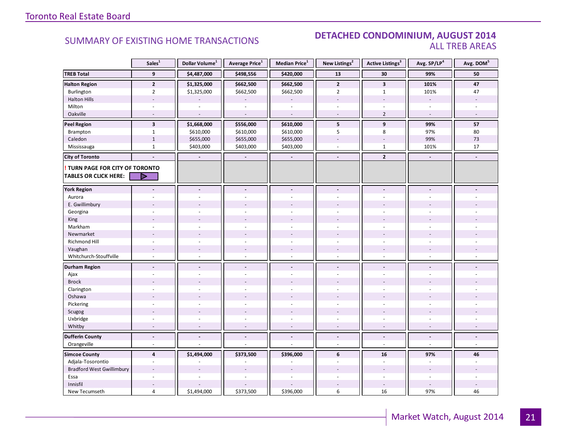#### SUMMARY OF EXISTING HOME TRANSACTIONS **DETACHED CONDOMINIUM, AUGUST 2014** ALL TREB AREAS

|                                  | Sales <sup>1</sup>           | Dollar Volume <sup>1</sup> | Average Price <sup>1</sup>   | Median Price $^1$        | New Listings <sup>2</sup> | Active Listings <sup>3</sup> | Avg. SP/LP <sup>4</sup>  | Avg. DOM <sup>5</sup> |
|----------------------------------|------------------------------|----------------------------|------------------------------|--------------------------|---------------------------|------------------------------|--------------------------|-----------------------|
| <b>TREB Total</b>                | $\overline{9}$               | \$4,487,000                | \$498,556                    | \$420,000                | 13                        | 30                           | 99%                      | 50                    |
| <b>Halton Region</b>             | $\overline{2}$               | \$1,325,000                | \$662,500                    | \$662,500                | $\mathbf{2}$              | $\overline{\mathbf{3}}$      | 101%                     | 47                    |
| Burlington                       | $\overline{2}$               | \$1,325,000                | \$662,500                    | \$662,500                | $\overline{2}$            | $\mathbf{1}$                 | 101%                     | 47                    |
| <b>Halton Hills</b>              | $\overline{a}$               |                            |                              |                          | $\overline{a}$            | $\overline{a}$               | $\sim$                   |                       |
| Milton                           |                              |                            |                              |                          | $\sim$                    |                              |                          |                       |
| Oakville                         | $\sim$                       | $\sim$                     | $\overline{\phantom{a}}$     | $\sim$                   | $\sim$                    | $\overline{2}$               | $\sim$                   | $\overline{a}$        |
| <b>Peel Region</b>               | $\overline{\mathbf{3}}$      | \$1,668,000                | \$556,000                    | \$610,000                | 5                         | 9                            | 99%                      | 57                    |
| Brampton                         | $\mathbf{1}$                 | \$610,000                  | \$610,000                    | \$610,000                | 5                         | 8                            | 97%                      | 80                    |
| Caledon                          | $\mathbf{1}$                 | \$655,000                  | \$655,000                    | \$655,000                |                           |                              | 99%                      | 73                    |
| Mississauga                      | $\mathbf{1}$                 | \$403,000                  | \$403,000                    | \$403,000                | $\overline{a}$            | $\mathbf{1}$                 | 101%                     | 17                    |
| <b>City of Toronto</b>           | $\overline{\phantom{a}}$     | $\blacksquare$             | $\qquad \qquad \blacksquare$ | $\overline{\phantom{a}}$ | $\blacksquare$            | $\overline{2}$               | $\blacksquare$           | $\overline{a}$        |
| TURN PAGE FOR CITY OF TORONTO    |                              |                            |                              |                          |                           |                              |                          |                       |
| <b>TABLES OR CLICK HERE:</b>     |                              |                            |                              |                          |                           |                              |                          |                       |
|                                  |                              |                            |                              |                          |                           |                              |                          |                       |
| <b>York Region</b>               | $\blacksquare$               | $\blacksquare$             | $\overline{a}$               | $\overline{a}$           | $\blacksquare$            | $\overline{a}$               |                          |                       |
| Aurora                           |                              |                            |                              |                          |                           |                              |                          |                       |
| E. Gwillimbury                   |                              |                            |                              |                          |                           |                              |                          |                       |
| Georgina                         |                              |                            |                              |                          |                           |                              |                          |                       |
| King                             |                              |                            |                              |                          |                           |                              |                          |                       |
| Markham                          | ä,                           |                            | $\overline{a}$               | $\overline{a}$           | $\sim$                    | $\bar{a}$                    |                          |                       |
| Newmarket                        |                              |                            |                              |                          |                           |                              |                          |                       |
| Richmond Hill                    |                              |                            |                              |                          |                           |                              |                          |                       |
| Vaughan                          | $\overline{a}$               |                            | $\overline{a}$               |                          |                           |                              |                          |                       |
| Whitchurch-Stouffville           | $\sim$                       | $\sim$                     | $\overline{a}$               | $\overline{a}$           | $\sim$                    | ÷.                           | $\sim$                   |                       |
| <b>Durham Region</b>             | $\qquad \qquad \blacksquare$ | $\overline{\phantom{a}}$   | $\blacksquare$               | $\overline{\phantom{a}}$ | $\overline{\phantom{a}}$  | $\blacksquare$               |                          |                       |
| Ajax                             |                              |                            | L.                           | $\overline{a}$           | $\sim$                    |                              |                          |                       |
| <b>Brock</b>                     |                              |                            |                              |                          |                           |                              |                          |                       |
| Clarington                       | $\overline{a}$               |                            | ÷,                           |                          |                           |                              |                          |                       |
| Oshawa                           |                              |                            |                              |                          |                           |                              |                          |                       |
| Pickering                        | ÷.                           |                            |                              |                          |                           | ÷                            |                          |                       |
| Scugog                           |                              |                            | $\overline{a}$               |                          |                           |                              |                          |                       |
| Uxbridge                         | ä,                           | ÷.                         | ÷,                           | ÷,                       | $\overline{\phantom{a}}$  | ä,                           |                          |                       |
| Whitby                           | $\sim$                       |                            | ÷,                           | $\overline{\phantom{a}}$ | $\sim$                    | $\sim$                       |                          |                       |
| <b>Dufferin County</b>           | $\overline{\phantom{a}}$     | $\blacksquare$             | $\blacksquare$               | $\blacksquare$           | $\blacksquare$            | $\overline{\phantom{a}}$     | $\overline{\phantom{a}}$ | $\frac{1}{2}$         |
| Orangeville                      | $\overline{\phantom{a}}$     |                            | ÷,                           | ÷,                       | $\overline{\phantom{a}}$  | $\overline{\phantom{a}}$     | $\omega$                 | $\omega$              |
| <b>Simcoe County</b>             | $\overline{4}$               | \$1,494,000                | \$373,500                    | \$396,000                | 6                         | 16                           | 97%                      | 46                    |
| Adjala-Tosorontio                | $\sim$                       |                            | ä,                           |                          | $\sim$                    | $\sim$                       | $\sim$                   |                       |
| <b>Bradford West Gwillimbury</b> |                              |                            |                              |                          |                           |                              |                          |                       |
| Essa                             |                              |                            |                              |                          |                           |                              |                          |                       |
| Innisfil                         |                              |                            |                              |                          | $\overline{a}$            | $\overline{a}$               |                          |                       |
| New Tecumseth                    | $\overline{4}$               | \$1,494,000                | \$373,500                    | \$396,000                | 6                         | 16                           | 97%                      | 46                    |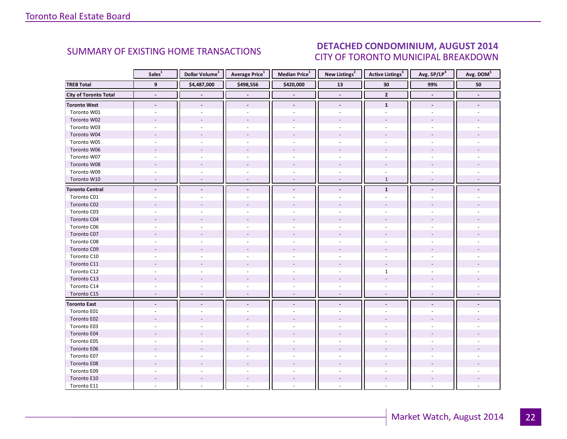#### ALIGUST 2014 CITY OF TORONTO MUNICIPAL BREAKDOWN SUMMARY OF EXISTING HOME TRANSACTIONS **DETACHED CONDOMINIUM, AUGUST 2014**

<span id="page-21-0"></span>

|                              | Sales <sup>1</sup>       | Dollar Volume <sup>1</sup> | <b>Average Price</b> <sup>1</sup> | Median Price <sup>1</sup> | New Listings <sup>2</sup> | <b>Active Listings<sup>3</sup></b> | Avg. SP/LP <sup>4</sup>  | Avg. DOM <sup>5</sup>    |
|------------------------------|--------------------------|----------------------------|-----------------------------------|---------------------------|---------------------------|------------------------------------|--------------------------|--------------------------|
| <b>TREB Total</b>            | $\overline{9}$           | \$4,487,000                | \$498,556                         | \$420,000                 | $\overline{13}$           | 30                                 | 99%                      | 50                       |
| <b>City of Toronto Total</b> | $\blacksquare$           |                            |                                   |                           | $\overline{\phantom{a}}$  | $\mathbf 2$                        | $\overline{\phantom{a}}$ | $\overline{\phantom{a}}$ |
| <b>Toronto West</b>          | $\overline{\phantom{a}}$ |                            | $\blacksquare$                    | $\overline{\phantom{a}}$  | $\overline{\phantom{a}}$  | $\mathbf{1}$                       | $\overline{\phantom{a}}$ |                          |
| Toronto W01                  | ÷.                       |                            |                                   | $\overline{a}$            |                           | $\overline{a}$                     |                          |                          |
| Toronto W02                  | $\overline{a}$           |                            |                                   |                           |                           |                                    |                          |                          |
| Toronto W03                  | $\sim$                   | $\overline{a}$             | $\sim$                            | $\overline{a}$            | $\mathbf{r}$              | $\sim$                             |                          |                          |
| Toronto W04                  |                          |                            |                                   |                           |                           |                                    |                          |                          |
| Toronto W05                  | $\sim$                   |                            |                                   |                           |                           |                                    |                          |                          |
| Toronto W06                  |                          |                            |                                   |                           |                           |                                    |                          |                          |
| Toronto W07                  |                          |                            | ä,                                |                           |                           |                                    |                          |                          |
| Toronto W08                  |                          |                            |                                   |                           |                           |                                    |                          |                          |
| Toronto W09                  | $\sim$                   |                            | ä,                                | $\omega$                  | $\sim$                    | $\overline{a}$                     |                          |                          |
| Toronto W10                  | $\sim$                   |                            | $\overline{a}$                    |                           | $\overline{\phantom{a}}$  | $\mathbf 1$                        |                          |                          |
| <b>Toronto Central</b>       | $\overline{\phantom{a}}$ | $\overline{a}$             | $\blacksquare$                    | $\blacksquare$            | $\blacksquare$            | $\mathbf{1}$                       |                          |                          |
| Toronto C01                  |                          |                            |                                   |                           |                           |                                    |                          |                          |
| Toronto C02                  |                          |                            |                                   |                           |                           |                                    |                          |                          |
| Toronto C03                  |                          |                            | $\sim$                            |                           |                           |                                    |                          |                          |
| Toronto C04                  |                          |                            |                                   |                           |                           |                                    |                          |                          |
| Toronto C06                  |                          |                            |                                   |                           |                           |                                    |                          |                          |
| Toronto C07                  |                          |                            |                                   |                           |                           |                                    |                          |                          |
| Toronto C08                  |                          |                            |                                   |                           |                           |                                    |                          |                          |
| Toronto C09                  |                          |                            |                                   |                           |                           |                                    |                          |                          |
| Toronto C10                  |                          |                            |                                   |                           |                           |                                    |                          |                          |
| Toronto C11                  |                          |                            |                                   |                           |                           |                                    |                          |                          |
| Toronto C12                  |                          |                            | ÷.                                |                           |                           | $\mathbf{1}$                       |                          |                          |
| Toronto C13                  |                          |                            |                                   |                           |                           |                                    |                          |                          |
| Toronto C14                  |                          |                            |                                   |                           |                           |                                    |                          |                          |
| Toronto C15                  | $\overline{\phantom{a}}$ | $\sim$                     | $\overline{\phantom{a}}$          | $\sim$                    | $\overline{\phantom{a}}$  | $\sim$                             | $\sim$                   |                          |
| <b>Toronto East</b>          | $\overline{\phantom{a}}$ |                            | $\centerdot$                      | $\overline{\phantom{a}}$  |                           |                                    |                          |                          |
| Toronto E01                  |                          |                            |                                   |                           |                           |                                    |                          |                          |
| Toronto E02                  |                          |                            |                                   |                           |                           |                                    |                          |                          |
| Toronto E03                  |                          |                            |                                   |                           |                           |                                    |                          |                          |
| Toronto E04                  |                          |                            |                                   |                           |                           |                                    |                          |                          |
| Toronto E05                  |                          |                            | ä,                                |                           |                           |                                    |                          |                          |
| Toronto E06                  |                          |                            |                                   |                           |                           |                                    |                          |                          |
| Toronto E07                  |                          |                            |                                   |                           |                           |                                    |                          |                          |
| Toronto E08                  |                          |                            |                                   |                           |                           |                                    |                          |                          |
| Toronto E09                  |                          |                            |                                   |                           |                           |                                    |                          |                          |
| Toronto E10                  |                          |                            |                                   |                           |                           |                                    |                          |                          |
| Toronto E11                  |                          |                            |                                   |                           |                           |                                    |                          |                          |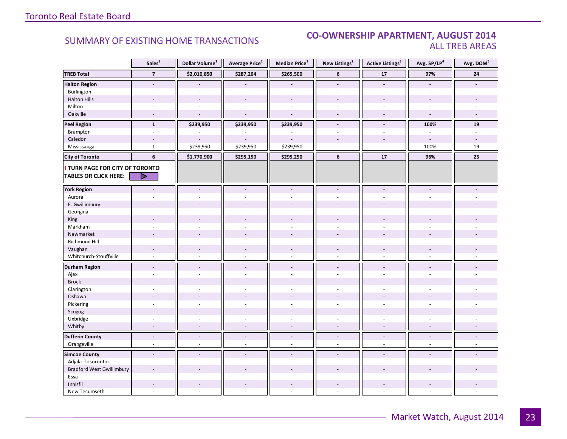#### **Industrial Leasing CO-OWNERSHIP APARTMENT, AUGUST 2014**<br>ALL TREB AREAS ALL TREB AREAS

|                                  | Sales <sup>1</sup>       | Dollar Volume <sup>1</sup> | Average Price <sup>1</sup> | Median Price <sup>1</sup> | New Listings <sup>2</sup> | <b>Active Listings<sup>3</sup></b> | Avg. SP/LP <sup>4</sup>  | Avg. DOM <sup>5</sup>    |
|----------------------------------|--------------------------|----------------------------|----------------------------|---------------------------|---------------------------|------------------------------------|--------------------------|--------------------------|
| <b>TREB Total</b>                | $\overline{7}$           | \$2,010,850                | \$287,264                  | \$265,500                 | 6                         | ${\bf 17}$                         | 97%                      | 24                       |
| <b>Halton Region</b>             | $\blacksquare$           |                            |                            |                           | $\blacksquare$            | $\blacksquare$                     | $\blacksquare$           |                          |
| Burlington                       | $\sim$                   | $\sim$                     | ä,                         | $\omega$                  | $\blacksquare$            | $\sim$                             | $\sim$                   |                          |
| <b>Halton Hills</b>              |                          |                            |                            |                           |                           |                                    |                          |                          |
| Milton                           | $\ddot{}$                |                            |                            |                           | $\overline{a}$            | ÷                                  |                          |                          |
| Oakville                         | $\overline{\phantom{a}}$ |                            |                            |                           | $\overline{\phantom{a}}$  | $\overline{\phantom{a}}$           |                          |                          |
| <b>Peel Region</b>               | $\mathbf{1}$             | \$239,950                  | \$239,950                  | \$239,950                 | $\overline{a}$            | $\overline{a}$                     | 100%                     | 19                       |
| Brampton                         | $\sim$                   |                            |                            |                           | $\sim$                    | $\sim$                             | $\sim$                   | $\overline{\phantom{a}}$ |
| Caledon                          | $\sim$                   |                            |                            |                           |                           | $\overline{\phantom{a}}$           | $\sim$                   |                          |
| Mississauga                      | $\mathbf{1}$             | \$239,950                  | \$239,950                  | \$239,950                 | $\overline{a}$            | ÷.                                 | 100%                     | 19                       |
| <b>City of Toronto</b>           | 6                        | \$1,770,900                | \$295,150                  | \$295,250                 | 6                         | $17$                               | 96%                      | 25                       |
| TURN PAGE FOR CITY OF TORONTO    |                          |                            |                            |                           |                           |                                    |                          |                          |
| <b>TABLES OR CLICK HERE:</b>     |                          |                            |                            |                           |                           |                                    |                          |                          |
| <b>York Region</b>               |                          |                            | ÷,                         |                           |                           |                                    |                          |                          |
| Aurora                           |                          |                            |                            |                           |                           |                                    |                          |                          |
| E. Gwillimbury                   |                          |                            |                            |                           |                           |                                    |                          |                          |
| Georgina                         |                          |                            |                            |                           |                           |                                    |                          |                          |
| King                             |                          |                            |                            |                           |                           |                                    |                          |                          |
| Markham                          | $\sim$                   | $\sim$                     | $\overline{\phantom{a}}$   | $\sim$                    | $\sim$                    | ä,                                 |                          |                          |
| Newmarket                        |                          |                            |                            |                           |                           |                                    |                          |                          |
| Richmond Hill                    |                          |                            |                            |                           |                           |                                    |                          |                          |
| Vaughan                          | $\overline{\phantom{a}}$ |                            | $\overline{\phantom{a}}$   | $\overline{\phantom{a}}$  |                           |                                    |                          |                          |
| Whitchurch-Stouffville           | $\sim$                   | $\sim$                     | $\overline{a}$             | $\mathcal{L}$             | $\sim$                    | $\sim$                             | ÷.                       |                          |
| <b>Durham Region</b>             | $\blacksquare$           | $\blacksquare$             | $\blacksquare$             | $\blacksquare$            | $\blacksquare$            | $\blacksquare$                     | $\blacksquare$           |                          |
| Ajax                             | ÷                        |                            |                            | ÷.                        | ÷                         |                                    |                          |                          |
| <b>Brock</b>                     |                          |                            |                            |                           |                           |                                    |                          |                          |
| Clarington                       |                          |                            |                            |                           |                           |                                    |                          |                          |
| Oshawa                           |                          |                            |                            |                           |                           |                                    |                          |                          |
| Pickering                        | $\overline{\phantom{a}}$ |                            |                            | L.                        | $\overline{a}$            | ÷,                                 |                          |                          |
| Scugog                           |                          |                            |                            |                           |                           |                                    |                          |                          |
| Uxbridge                         | ÷.                       | ÷.                         | ÷                          | ÷.                        | ÷                         | ÷.                                 | ÷                        |                          |
| Whitby                           | $\overline{\phantom{a}}$ | $\sim$                     | ÷,                         | $\overline{a}$            | $\overline{\phantom{a}}$  | $\overline{\phantom{a}}$           |                          |                          |
| <b>Dufferin County</b>           | $\overline{\phantom{a}}$ | $\blacksquare$             | $\overline{a}$             | $\blacksquare$            | $\blacksquare$            | $\blacksquare$                     | $\blacksquare$           | $\blacksquare$           |
| Orangeville                      | $\overline{\phantom{a}}$ | $\sim$                     | $\overline{\phantom{a}}$   | $\overline{\phantom{a}}$  | $\overline{\phantom{a}}$  | $\bar{a}$                          | $\overline{\phantom{a}}$ | ÷.                       |
| <b>Simcoe County</b>             | $\overline{a}$           |                            | $\overline{a}$             |                           |                           |                                    |                          |                          |
| Adjala-Tosorontio                | $\sim$                   | ÷.                         | $\overline{a}$             | ÷.                        | ÷                         | ÷.                                 | ÷.                       |                          |
| <b>Bradford West Gwillimbury</b> | $\overline{a}$           |                            |                            |                           |                           |                                    |                          |                          |
| Essa                             |                          |                            |                            |                           |                           |                                    |                          |                          |
| Innisfil                         | $\sim$                   | $\sim$                     | $\overline{\phantom{a}}$   | $\sim$                    | $\blacksquare$            | $\sim$                             |                          |                          |
| New Tecumseth                    | $\overline{\phantom{a}}$ |                            | L,                         | ä,                        | $\bar{a}$                 | $\bar{a}$                          |                          |                          |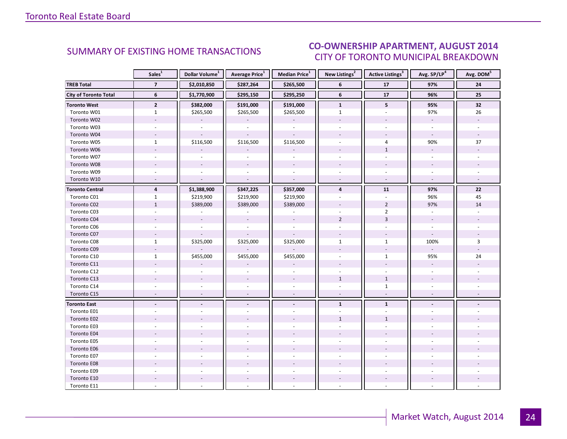### CO-OWNERSHIP APARTMENT, AUGUST 2014 CITY OF TORONTO MUNICIPAL BREAKDOWN

<span id="page-23-0"></span>

|                              | Sales <sup>1</sup>       | Dollar Volume <sup>1</sup> | Average Price <sup>1</sup> | Median Price <sup>1</sup> | New Listings <sup>2</sup> | Active Listings <sup>3</sup> | Avg. SP/LP <sup>4</sup>  | Avg. DOM <sup>5</sup> |
|------------------------------|--------------------------|----------------------------|----------------------------|---------------------------|---------------------------|------------------------------|--------------------------|-----------------------|
| <b>TREB Total</b>            | $\overline{7}$           | \$2,010,850                | \$287,264                  | \$265,500                 | 6                         | 17                           | 97%                      | 24                    |
| <b>City of Toronto Total</b> | 6                        | \$1,770,900                | \$295,150                  | \$295,250                 | 6                         | 17                           | 96%                      | 25                    |
| <b>Toronto West</b>          | $\mathbf{2}$             | \$382,000                  | \$191,000                  | \$191,000                 | $\mathbf{1}$              | 5                            | 95%                      | 32                    |
| Toronto W01                  | $\mathbf{1}$             | \$265,500                  | \$265,500                  | \$265,500                 | $\mathbf{1}$              |                              | 97%                      | 26                    |
| Toronto W02                  |                          |                            |                            |                           |                           |                              | $\mathbf{r}$             |                       |
| Toronto W03                  | $\omega$                 | $\omega$                   | $\omega$                   | $\omega$                  | $\sim$                    | $\bar{a}$                    | $\omega$                 |                       |
| Toronto W04                  |                          |                            |                            |                           |                           |                              | $\sim$                   |                       |
| Toronto W05                  | $\mathbf{1}$             | \$116,500                  | \$116,500                  | \$116,500                 |                           | 4                            | 90%                      | 37                    |
| Toronto W06                  |                          |                            |                            |                           |                           | $\mathbf{1}$                 | $\overline{a}$           |                       |
| Toronto W07                  | $\overline{a}$           | ÷.                         | ä,                         | $\omega$                  |                           | ÷.                           | ÷.                       |                       |
| Toronto W08                  |                          | $\overline{\phantom{a}}$   | $\mathbf{r}$               | $\omega$                  |                           | $\overline{a}$               | $\overline{\phantom{a}}$ |                       |
| Toronto W09                  |                          |                            |                            |                           |                           |                              | $\sim$                   |                       |
| Toronto W10                  | $\overline{\phantom{a}}$ | $\overline{a}$             | $\overline{a}$             | $\sim$                    |                           | $\sim$                       | $\omega$                 |                       |
| <b>Toronto Central</b>       | $\overline{4}$           | \$1,388,900                | \$347,225                  | \$357,000                 | 4                         | 11                           | 97%                      | 22                    |
| Toronto C01                  | $\mathbf{1}$             | \$219,900                  | \$219,900                  | \$219,900                 |                           |                              | 96%                      | 45                    |
| Toronto C02                  | $\mathbf{1}$             | \$389,000                  | \$389,000                  | \$389,000                 |                           | $\overline{2}$               | 97%                      | 14                    |
| Toronto C03                  | $\sim$                   |                            |                            |                           |                           | $\overline{2}$               | $\omega$                 |                       |
| Toronto C04                  |                          |                            |                            |                           | $\overline{2}$            | $\overline{3}$               |                          |                       |
| Toronto C06                  |                          |                            |                            |                           |                           |                              |                          |                       |
| Toronto C07                  | $\sim$                   |                            |                            |                           |                           |                              | $\overline{\phantom{a}}$ |                       |
| Toronto C08                  | $\mathbf{1}$             | \$325,000                  | \$325,000                  | \$325,000                 | $\mathbf{1}$              | $\mathbf{1}$                 | 100%                     | 3                     |
| Toronto C09                  |                          |                            |                            |                           |                           |                              | $\overline{\phantom{a}}$ |                       |
| Toronto C10                  | $\mathbf{1}$             | \$455,000                  | \$455,000                  | \$455,000                 |                           | $\mathbf{1}$                 | 95%                      | 24                    |
| Toronto C11                  |                          |                            |                            |                           |                           |                              | $\overline{\phantom{a}}$ |                       |
| Toronto C12                  | $\overline{a}$           |                            |                            |                           |                           |                              | ÷.                       |                       |
| Toronto C13                  |                          |                            |                            |                           | $\mathbf{1}$              | $\mathbf{1}$                 |                          |                       |
| Toronto C14                  |                          |                            |                            |                           |                           | $\mathbf{1}$                 |                          |                       |
| Toronto C15                  | $\sim$                   |                            | $\overline{a}$             | $\overline{\phantom{a}}$  | $\sim$                    | $\overline{\phantom{a}}$     | $\sim$                   |                       |
| <b>Toronto East</b>          |                          |                            |                            |                           | $\mathbf{1}$              | $\mathbf{1}$                 |                          |                       |
| Toronto E01                  |                          |                            |                            |                           |                           |                              |                          |                       |
| Toronto E02                  |                          |                            |                            |                           | $\mathbf{1}$              | $\mathbf{1}$                 |                          |                       |
| Toronto E03                  |                          |                            |                            |                           |                           |                              |                          |                       |
| Toronto E04                  |                          |                            |                            |                           |                           |                              |                          |                       |
| Toronto E05                  |                          |                            |                            |                           |                           |                              |                          |                       |
| Toronto E06                  |                          |                            |                            |                           |                           |                              |                          |                       |
| Toronto E07                  |                          |                            |                            | $\overline{a}$            |                           |                              |                          |                       |
| Toronto E08                  |                          |                            |                            |                           |                           |                              |                          |                       |
| Toronto E09                  |                          |                            |                            |                           |                           |                              |                          |                       |
| Toronto E10                  |                          |                            |                            | $\overline{\phantom{a}}$  |                           | $\overline{\phantom{a}}$     |                          |                       |
| Toronto E11                  |                          |                            |                            |                           |                           |                              |                          |                       |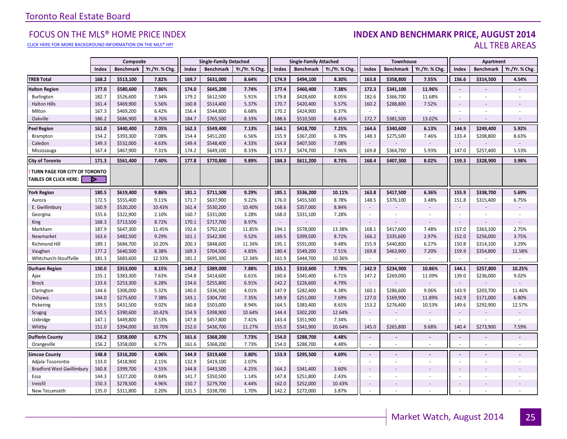#### [CLICK HERE FOR MORE BACKGROUND INFORMATION ON THE MLS® HPI](http://www.torontorealestateboard.com/market_news/home_price_index/index.htm)

#### FOCUS ON THE MLS® HOME PRICE INDEX **INDEX AND BENCHMARK PRICE, AUGUST 2014**<br>Elick here for more background information on the mls® hpi ALL TREB AREAS

|                                  | Composite |                  | <b>Single-Family Detached</b> |       | <b>Single-Family Attached</b> |                | Townhouse |                  |                | Apartment                |                  |                |        |                          |                |
|----------------------------------|-----------|------------------|-------------------------------|-------|-------------------------------|----------------|-----------|------------------|----------------|--------------------------|------------------|----------------|--------|--------------------------|----------------|
|                                  | Index     | <b>Benchmark</b> | Yr./Yr. % Chg                 | Index | <b>Benchmark</b>              | Yr./Yr. % Chg. | Index     | <b>Benchmark</b> | Yr./Yr. % Chg. | Index                    | <b>Benchmark</b> | Yr./Yr. % Chg. | Index  | <b>Benchmark</b>         | Yr./Yr. % Chg. |
| <b>TREB Total</b>                | 168.2     | \$513,100        | 7.82%                         | 169.7 | \$631,000                     | 8.64%          | 174.9     | \$494,100        | 8.30%          | 163.8                    | \$358,800        | 7.55%          | 156.6  | \$314,500                | 4.54%          |
| <b>Halton Region</b>             | 177.0     | \$580,600        | 7.86%                         | 174.0 | \$645,200                     | 7.74%          | 177.4     | \$460,400        | 7.38%          | 172.3                    | \$341,100        | 11.96%         | $\sim$ |                          |                |
| Burlington                       | 182.7     | \$526,600        | 7.34%                         | 179.2 | \$612,500                     | 5.91%          | 179.8     | \$428,600        | 8.05%          | 182.6                    | \$366,700        | 11.68%         | $\sim$ | $\overline{\phantom{a}}$ |                |
| <b>Halton Hills</b>              | 161.4     | \$469,900        | 5.56%                         | 160.8 | \$514,400                     | 5.37%          | 170.7     | \$420,400        | 5.57%          | 160.2                    | \$288,800        | 7.52%          | $\sim$ |                          |                |
| Milton                           | 167.3     | \$469,200        | 6.42%                         | 156.4 | \$544,800                     | 6.68%          | 170.2     | \$424,900        | 6.37%          | $\sim$                   |                  | $\sim$         |        |                          |                |
| Oakville                         | 186.2     | \$686,900        | 8.76%                         | 184.7 | \$765,500                     | 8.33%          | 188.6     | \$510,500        | 8.45%          | 172.7                    | \$381,500        | 13.02%         | $\sim$ |                          |                |
| <b>Peel Region</b>               | 161.0     | \$440,400        | 7.05%                         | 162.3 | \$549,400                     | 7.13%          | 164.1     | \$418,700        | 7.25%          | 164.6                    | \$340,600        | 6.13%          | 144.9  | \$249,400                | 5.92%          |
| Brampton                         | 154.2     | \$393,300        | 7.08%                         | 154.4 | \$451,200                     | 6.56%          | 155.9     | \$367,200        | 6.78%          | 148.3                    | \$275,500        | 7.46%          | 133.4  | \$208,800                | 8.63%          |
| Caledon                          | 149.3     | \$532,000        | 4.63%                         | 149.4 | \$548,400                     | 4.33%          | 164.8     | \$407,500        | 7.08%          | $\sim$                   |                  |                | $\sim$ |                          |                |
| Mississauga                      | 167.4     | \$467,900        | 7.31%                         | 174.2 | \$649,100                     | 8.33%          | 173.7     | \$474,700        | 7.96%          | 169.8                    | \$364,700        | 5.93%          | 147.0  | \$257,400                | 5.53%          |
| <b>City of Toronto</b>           | 171.3     | \$561,400        | 7.40%                         | 177.8 | \$770,800                     | 9.89%          | 184.3     | \$611,200        | 8.73%          | 168.4                    | \$407,300        | 8.02%          | 159.3  | \$328,900                | 3.98%          |
| TURN PAGE FOR CITY OF TORONTO    |           |                  |                               |       |                               |                |           |                  |                |                          |                  |                |        |                          |                |
| <b>TABLES OR CLICK HERE:</b>     | Þ         |                  |                               |       |                               |                |           |                  |                |                          |                  |                |        |                          |                |
| <b>York Region</b>               | 180.5     | \$619,400        | 9.86%                         | 181.1 | \$711,500                     | 9.29%          | 185.1     | \$536,200        | 10.11%         | 163.8                    | \$417,500        | 6.36%          | 155.9  | \$338,700                | 5.69%          |
| Aurora                           | 172.5     | \$555,400        | 9.11%                         | 171.7 | \$637,900                     | 9.22%          | 176.0     | \$455,500        | 8.78%          | 148.5                    | \$376,100        | 3.48%          | 151.8  | \$315,400                | 6.75%          |
| E. Gwillimbury                   | 160.9     | \$520,200        | 10.43%                        | 161.4 | \$530,200                     | 10.40%         | 168.6     | \$357,000        | 8.84%          | $\sim$                   |                  |                | $\sim$ |                          |                |
| Georgina                         | 155.6     | \$322,900        | 2.10%                         | 160.7 | \$331,000                     | 3.28%          | 168.0     | \$331,100        | 7.28%          | $\sim$                   |                  |                | $\sim$ | $\sim$                   | ٠              |
| King                             | 168.3     | \$713,500        | 8.72%                         | 170.1 | \$717,700                     | 8.97%          | $\sim$    |                  |                | $\overline{\phantom{a}}$ |                  |                | $\sim$ |                          |                |
| Markham                          | 187.9     | \$647,300        | 11.45%                        | 192.6 | \$792,100                     | 11.85%         | 194.1     | \$578,000        | 13.38%         | 168.1                    | \$417,600        | 7.48%          | 157.0  | \$363,100                | 2.75%          |
| Newmarket                        | 163.6     | \$482,500        | 9.29%                         | 161.1 | \$542,300                     | 9.52%          | 169.5     | \$399,500        | 8.72%          | 166.2                    | \$335,600        | 2.97%          | 152.0  | \$256,000                | 3.75%          |
| Richmond Hill                    | 189.1     | \$684,700        | 10.20%                        | 200.3 | \$848,600                     | 11.34%         | 195.1     | \$591,000        | 9.48%          | 155.9                    | \$440,800        | 6.27%          | 150.8  | \$314,100                | 3.29%          |
| Vaughan                          | 177.2     | \$640,500        | 8.38%                         | 169.3 | \$704,500                     | 4.83%          | 180.4     | \$549,200        | 7.51%          | 169.8                    | \$463,900        | 7.20%          | 159.9  | \$354,800                | 11.58%         |
| Whitchurch-Stouffville           | 181.3     | \$683,600        | 12.33%                        | 181.2 | \$695,300                     | 12.34%         | 161.9     | \$444,700        | 10.36%         | $\overline{\phantom{a}}$ | $\sim$           | $\sim$         | $\sim$ | ÷.                       | $\sim$         |
| <b>Durham Region</b>             | 150.0     | \$353,000        | 8.15%                         | 149.2 | \$389,000                     | 7.88%          | 155.1     | \$310,600        | 7.78%          | 142.9                    | \$234,900        | 10.86%         | 144.1  | \$257,800                | 10.25%         |
| Ajax                             | 155.1     | \$383,300        | 7.63%                         | 154.8 | \$414,600                     | 6.61%          | 160.6     | \$345,400        | 6.71%          | 147.2                    | \$269,000        | 11.09%         | 139.0  | \$236,000                | 9.02%          |
| <b>Brock</b>                     | 133.6     | \$253,300        | 6.28%                         | 134.6 | \$255,800                     | 6.91%          | 142.2     | \$226,600        | 4.79%          | $\sim$                   |                  |                | $\sim$ |                          | $\overline{a}$ |
| Clarington                       | 144.6     | \$306,000        | 5.32%                         | 140.0 | \$336,500                     | 4.01%          | 147.9     | \$282,400        | 4.38%          | 160.1                    | \$286,600        | 9.06%          | 143.9  | \$203,700                | 11.46%         |
| Oshawa                           | 144.0     | \$275,600        | 7.38%                         | 143.1 | \$304,700                     | 7.35%          | 149.9     | \$251,000        | 7.69%          | 127.0                    | \$169,900        | 11.89%         | 142.9  | \$171,000                | 6.80%          |
| Pickering                        | 159.5     | \$431,500        | 9.02%                         | 160.8 | \$503,000                     | 8.94%          | 164.5     | \$383,400        | 8.65%          | 153.2                    | \$276,400        | 10.53%         | 149.6  | \$292,900                | 12.57%         |
| Scugog                           | 150.5     | \$390,600        | 10.42%                        | 154.9 | \$398,900                     | 10.64%         | 144.4     | \$302,200        | 12.64%         | $\overline{\phantom{a}}$ |                  |                | $\sim$ |                          |                |
| Uxbridge                         | 147.1     | \$449,800        | 7.53%                         | 147.8 | \$457,800                     | 7.41%          | 143.4     | \$351,900        | 7.34%          | $\sim$                   |                  |                |        |                          | ٠              |
| Whitby                           | 151.0     | \$394,000        | 10.70%                        | 152.0 | \$436,700                     | 11.27%         | 155.0     | \$341,900        | 10.64%         | 145.0                    | \$265,800        | 9.68%          | 140.4  | \$273,900                | 7.59%          |
| <b>Dufferin County</b>           | 156.2     | \$358,000        | 6.77%                         | 161.6 | \$368,200                     | 7.73%          | 154.0     | \$288,700        | 4.48%          | $\blacksquare$           |                  |                | $\sim$ | $\frac{1}{2}$            | $\blacksquare$ |
| Orangeville                      | 156.2     | \$358,000        | 6.77%                         | 161.6 | \$368,200                     | 7.73%          | 154.0     | \$288,700        | 4.48%          | $\sim$                   | ×                | $\mathbf{r}$   | ×.     | ä,                       | ÷              |
| <b>Simcoe County</b>             | 148.8     | \$316,200        | 4.06%                         | 144.9 | \$319,600                     | 3.80%          | 153.9     | \$295,500        | 4.69%          | $\omega$                 |                  |                | $\sim$ | $\blacksquare$           |                |
| Adjala-Tosorontio                | 133.0     | \$418,900        | 2.15%                         | 132.9 | \$419,100                     | 2.07%          | $\sim$    |                  |                | $\sim$                   |                  | $\sim$         | ×.     | ×.                       | ÷.             |
| <b>Bradford West Gwillimbury</b> | 160.8     | \$399,700        | 4.55%                         | 144.8 | \$443,500                     | 4.25%          | 164.2     | \$341,400        | 3.60%          | $\overline{\phantom{a}}$ |                  |                |        |                          |                |
| Essa                             | 144.3     | \$327,200        | 0.84%                         | 141.7 | \$350,500                     | 1.14%          | 147.8     | \$251,800        | 2.43%          | $\overline{\phantom{a}}$ |                  |                | $\sim$ | $\sim$                   |                |
| Innisfil                         | 150.3     | \$278,500        | 4.96%                         | 150.7 | \$279,700                     | 4.44%          | 162.0     | \$252,000        | 10.43%         | $\overline{\phantom{a}}$ |                  |                | $\sim$ |                          |                |
| New Tecumseth                    | 135.0     | \$311,800        | 2.20%                         | 131.5 | \$338,700                     | 1.70%          | 142.2     | \$272,000        | 3.87%          | ×.                       |                  |                |        | ÷                        |                |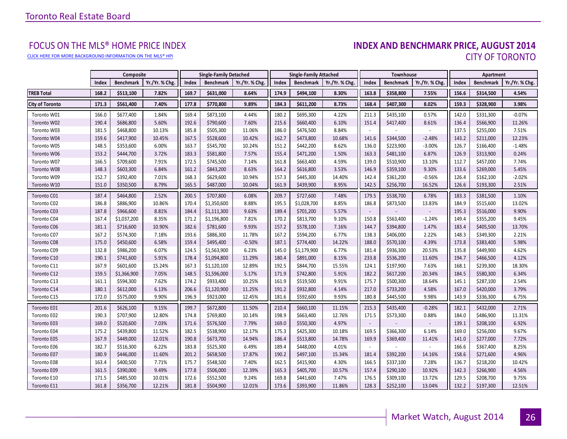[CLICK HERE FOR MORE BACKGROUND INFORMATION ON THE MLS® HPI](http://www.torontorealestateboard.com/market_news/home_price_index/index.htm)

# FOCUS ON THE MLS® HOME PRICE INDEX<br>**INDEX AND BENCHMARK PRICE, AUGUST 2014** CITY OF TORONTO

|                        |       | Composite        |                |       | <b>Single-Family Detached</b> |                | <b>Single-Family Attached</b> |                  | Townhouse      |                          |                  | Apartment      |       |                  |                |
|------------------------|-------|------------------|----------------|-------|-------------------------------|----------------|-------------------------------|------------------|----------------|--------------------------|------------------|----------------|-------|------------------|----------------|
|                        | Index | <b>Benchmark</b> | Yr./Yr. % Chg. | Index | <b>Benchmark</b>              | Yr./Yr. % Chg. | Index                         | <b>Benchmark</b> | Yr./Yr. % Chg. | Index                    | <b>Benchmark</b> | Yr./Yr. % Chg. | Index | <b>Benchmark</b> | Yr./Yr. % Chg. |
| <b>TREB Total</b>      | 168.2 | \$513,100        | 7.82%          | 169.7 | \$631,000                     | 8.64%          | 174.9                         | \$494,100        | 8.30%          | 163.8                    | \$358,800        | 7.55%          | 156.6 | \$314,500        | 4.54%          |
| <b>City of Toronto</b> | 171.3 | \$561,400        | 7.40%          | 177.8 | \$770,800                     | 9.89%          | 184.3                         | \$611,200        | 8.73%          | 168.4                    | \$407,300        | 8.02%          | 159.3 | \$328,900        | 3.98%          |
| Toronto W01            | 166.0 | \$677,400        | 1.84%          | 169.4 | \$873,100                     | 4.44%          | 180.2                         | \$695,300        | 4.22%          | 211.3                    | \$435,100        | 0.57%          | 142.0 | \$331,300        | $-0.07%$       |
| Toronto W02            | 190.4 | \$686,800        | 5.60%          | 192.6 | \$790,600                     | 7.60%          | 215.6                         | \$660,400        | 6.10%          | 151.4                    | \$417,400        | 8.61%          | 136.4 | \$566,900        | 11.26%         |
| Toronto W03            | 181.5 | \$468,800        | 10.13%         | 185.8 | \$505,300                     | 11.06%         | 186.0                         | \$476,500        | 8.84%          | $\sim$                   |                  | $\omega$       | 137.5 | \$255,000        | 7.51%          |
| Toronto W04            | 159.6 | \$417,900        | 10.45%         | 167.5 | \$528,600                     | 10.42%         | 162.7                         | \$473,800        | 10.68%         | 141.6                    | \$344,500        | $-2.48%$       | 143.2 | \$211,000        | 12.23%         |
| Toronto W05            | 148.5 | \$353,600        | 6.00%          | 163.7 | \$545,700                     | 10.24%         | 151.2                         | \$442,200        | 8.62%          | 136.0                    | \$223,900        | $-3.00%$       | 126.7 | \$166,400        | $-1.48%$       |
| Toronto W06            | 153.2 | \$444,700        | 3.72%          | 183.3 | \$581,800                     | 7.57%          | 155.4                         | \$471,200        | 1.50%          | 163.3                    | \$481,100        | 6.87%          | 126.9 | \$313,900        | 0.24%          |
| Toronto W07            | 166.5 | \$709,600        | 7.91%          | 172.5 | \$745,500                     | 7.14%          | 161.8                         | \$663,400        | 4.59%          | 139.0                    | \$510,900        | 13.10%         | 112.7 | \$457,000        | 7.74%          |
| Toronto W08            | 148.3 | \$603,300        | 6.84%          | 161.2 | \$843,200                     | 8.63%          | 164.2                         | \$616,800        | 3.53%          | 146.9                    | \$359,100        | 9.30%          | 133.6 | \$269,000        | 5.45%          |
| Toronto W09            | 152.7 | \$392,400        | 7.01%          | 168.3 | \$629,600                     | 10.94%         | 157.3                         | \$445,300        | 14.40%         | 142.4                    | \$361,200        | $-0.56%$       | 126.4 | \$162,100        | $-2.02%$       |
| Toronto W10            | 151.0 | \$350,500        | 8.79%          | 165.5 | \$487,000                     | 10.04%         | 161.9                         | \$439,900        | 8.95%          | 142.5                    | \$256,700        | 16.52%         | 126.6 | \$193,300        | 2.51%          |
| Toronto C01            | 187.4 | \$464,800        | 2.52%          | 200.5 | \$707,800                     | 6.08%          | 209.7                         | \$727,600        | 7.48%          | 179.5                    | \$538,700        | 6.78%          | 183.3 | \$381,500        | 1.10%          |
| Toronto C02            | 186.8 | \$886,900        | 10.86%         | 170.4 | \$1,350,600                   | 8.88%          | 195.5                         | \$1,028,700      | 8.85%          | 186.8                    | \$873,500        | 13.83%         | 184.9 | \$515,600        | 13.02%         |
| Toronto C03            | 187.8 | \$966,600        | 8.81%          | 184.4 | \$1,111,300                   | 9.63%          | 189.4                         | \$701,200        | 5.57%          | $\overline{\phantom{a}}$ |                  |                | 195.3 | \$516,000        | 9.90%          |
| Toronto C04            | 167.4 | \$1,037,200      | 8.35%          | 171.2 | \$1,196,800                   | 7.81%          | 170.2                         | \$813,700        | 9.10%          | 150.8                    | \$563,400        | $-1.24%$       | 149.4 | \$355,200        | 9.45%          |
| Toronto C06            | 181.1 | \$716,600        | 10.90%         | 182.6 | \$781,600                     | 9.93%          | 157.2                         | \$578,100        | 7.16%          | 144.7                    | \$394,800        | 1.47%          | 183.4 | \$405,500        | 13.70%         |
| Toronto C07            | 167.2 | \$574,300        | 7.18%          | 193.6 | \$886,300                     | 11.78%         | 167.2                         | \$594,200        | 6.77%          | 138.3                    | \$406,000        | 2.22%          | 148.3 | \$349,300        | 2.21%          |
| Toronto C08            | 175.0 | \$450,600        | 6.58%          | 159.4 | \$495,400                     | $-0.50%$       | 187.1                         | \$774,400        | 14.22%         | 188.0                    | \$570,100        | 4.39%          | 173.8 | \$383,400        | 5.98%          |
| Toronto C09            | 132.8 | \$986,200        | 6.07%          | 124.5 | \$1,563,900                   | 6.23%          | 145.0                         | \$1,179,900      | 6.77%          | 181.4                    | \$936,300        | 20.53%         | 135.8 | \$449,900        | 4.62%          |
| Toronto C10            | 190.1 | \$741,600        | 5.91%          | 178.4 | \$1,094,800                   | 11.29%         | 180.4                         | \$891,000        | 8.15%          | 233.8                    | \$536,200        | 11.60%         | 194.7 | \$466,500        | 4.12%          |
| Toronto C11            | 167.9 | \$601,600        | 15.24%         | 167.3 | \$1,120,100                   | 12.89%         | 192.5                         | \$844,700        | 15.55%         | 124.1                    | \$197,900        | 7.63%          | 168.1 | \$239,300        | 18.30%         |
| Toronto C12            | 159.5 | \$1,366,900      | 7.05%          | 148.5 | \$1,596,000                   | 5.17%          | 171.9                         | \$742,800        | 5.91%          | 182.2                    | \$617,200        | 20.34%         | 184.5 | \$580,300        | 6.34%          |
| Toronto C13            | 161.1 | \$594,300        | 7.62%          | 174.2 | \$933,400                     | 10.25%         | 161.9                         | \$519,500        | 9.91%          | 175.7                    | \$500,300        | 18.64%         | 145.1 | \$287,100        | 2.54%          |
| Toronto C14            | 180.1 | \$612,000        | 6.13%          | 206.6 | \$1,120,900                   | 11.25%         | 191.2                         | \$932,800        | 4.14%          | 217.0                    | \$733,200        | 4.58%          | 167.0 | \$420,000        | 3.79%          |
| Toronto C15            | 172.0 | \$575,000        | 9.90%          | 196.9 | \$923,000                     | 12.45%         | 181.6                         | \$592,600        | 9.93%          | 180.8                    | \$445,500        | 9.98%          | 143.9 | \$336,300        | 6.75%          |
| Toronto E01            | 201.6 | \$626,100        | 9.15%          | 199.7 | \$672,800                     | 11.50%         | 210.4                         | \$660,100        | 11.15%         | 215.3                    | \$435,400        | $-0.28%$       | 182.1 | \$432,000        | 2.71%          |
| Toronto E02            | 190.3 | \$707,900        | 12.80%         | 174.8 | \$769,800                     | 10.14%         | 198.9                         | \$663,400        | 12.76%         | 171.5                    | \$573,300        | 0.88%          | 184.0 | \$486,900        | 11.31%         |
| Toronto E03            | 169.0 | \$520,600        | 7.03%          | 171.6 | \$576,500                     | 7.79%          | 169.0                         | \$550,300        | 4.97%          |                          |                  |                | 139.1 | \$208,100        | 6.92%          |
| Toronto E04            | 175.2 | \$439,800        | 11.52%         | 182.5 | \$538,900                     | 12.17%         | 175.3                         | \$425,300        | 10.18%         | 169.5                    | \$366,300        | 6.14%          | 169.0 | \$256,000        | 9.67%          |
| Toronto E05            | 167.9 | \$449,000        | 12.01%         | 190.8 | \$673,700                     | 14.94%         | 186.4                         | \$513,800        | 14.78%         | 169.9                    | \$369,400        | 11.41%         | 141.0 | \$277,000        | 7.72%          |
| Toronto E06            | 182.7 | \$516,300        | 6.22%          | 183.8 | \$525,300                     | 6.49%          | 189.4                         | \$448,000        | 4.01%          | $\sim$                   |                  | $\overline{a}$ | 166.6 | \$367,400        | 8.25%          |
| Toronto E07            | 180.9 | \$446,000        | 11.60%         | 201.2 | \$658,500                     | 17.87%         | 190.2                         | \$497,100        | 15.34%         | 181.4                    | \$392,200        | 14.16%         | 158.6 | \$271,600        | 4.96%          |
| Toronto E08            | 163.4 | \$400,500        | 7.71%          | 175.7 | \$548,500                     | 7.40%          | 162.5                         | \$415,900        | 4.30%          | 166.5                    | \$337,100        | 7.28%          | 136.7 | \$218,200        | 10.42%         |
| Toronto E09            | 161.5 | \$390,000        | 9.49%          | 177.8 | \$506,000                     | 12.39%         | 165.3                         | \$405,700        | 10.57%         | 157.4                    | \$290,100        | 10.92%         | 142.3 | \$266,900        | 4.56%          |
| Toronto E10            | 171.5 | \$485,500        | 10.01%         | 172.6 | \$552,500                     | 9.24%          | 169.8                         | \$441,600        | 7.47%          | 176.5                    | \$309,100        | 13.72%         | 129.5 | \$208,700        | 9.75%          |
| Toronto E11            | 161.8 | \$356,700        | 12.21%         | 181.8 | \$504,900                     | 12.01%         | 173.6                         | \$393,900        | 11.86%         | 128.3                    | \$252,100        | 13.04%         | 132.2 | \$197,300        | 12.51%         |